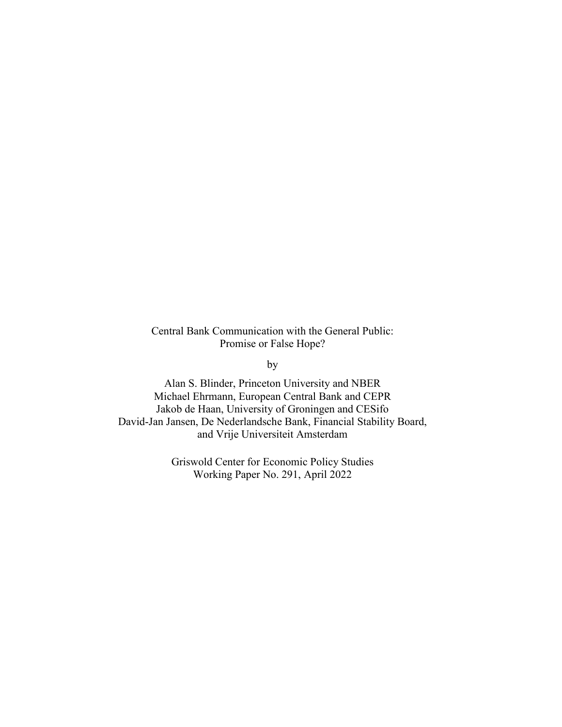Central Bank Communication with the General Public: Promise or False Hope?

by

Alan S. Blinder, Princeton University and NBER Michael Ehrmann, European Central Bank and CEPR Jakob de Haan, University of Groningen and CESifo David-Jan Jansen, De Nederlandsche Bank, Financial Stability Board, and Vrije Universiteit Amsterdam

> Griswold Center for Economic Policy Studies Working Paper No. 291, April 2022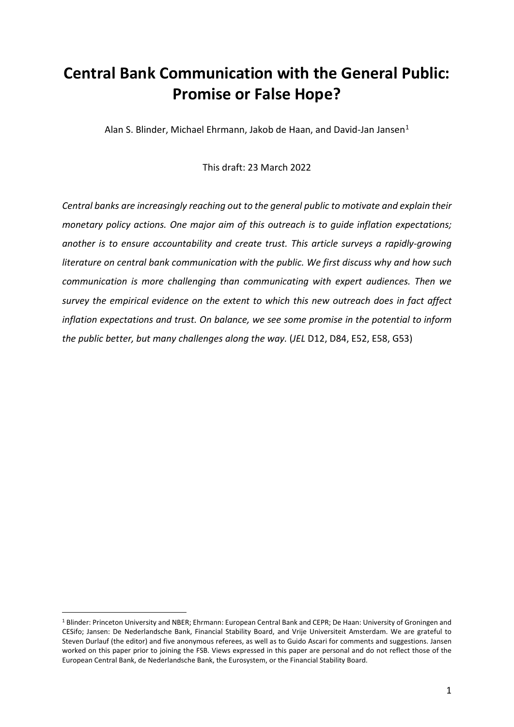# **Central Bank Communication with the General Public: Promise or False Hope?**

Alan S. Blinder, Michael Ehrmann, Jakob de Haan, and David-Jan Jansen<sup>[1](#page-1-0)</sup>

This draft: 23 March 2022

*Central banks are increasingly reaching out to the general public to motivate and explain their monetary policy actions. One major aim of this outreach is to guide inflation expectations; another is to ensure accountability and create trust. This article surveys a rapidly-growing literature on central bank communication with the public. We first discuss why and how such communication is more challenging than communicating with expert audiences. Then we survey the empirical evidence on the extent to which this new outreach does in fact affect inflation expectations and trust. On balance, we see some promise in the potential to inform the public better, but many challenges along the way.* (*JEL* D12, D84, E52, E58, G53)

<span id="page-1-0"></span> <sup>1</sup> Blinder: Princeton University and NBER; Ehrmann: European Central Bank and CEPR; De Haan: University of Groningen and CESifo; Jansen: De Nederlandsche Bank, Financial Stability Board, and Vrije Universiteit Amsterdam. We are grateful to Steven Durlauf (the editor) and five anonymous referees, as well as to Guido Ascari for comments and suggestions. Jansen worked on this paper prior to joining the FSB. Views expressed in this paper are personal and do not reflect those of the European Central Bank, de Nederlandsche Bank, the Eurosystem, or the Financial Stability Board.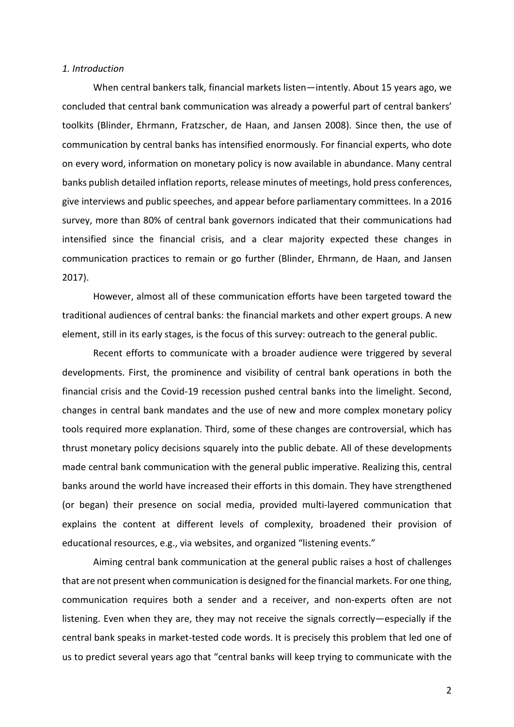#### *1. Introduction*

When central bankers talk, financial markets listen—intently. About 15 years ago, we concluded that central bank communication was already a powerful part of central bankers' toolkits (Blinder, Ehrmann, Fratzscher, de Haan, and Jansen 2008). Since then, the use of communication by central banks has intensified enormously. For financial experts, who dote on every word, information on monetary policy is now available in abundance. Many central banks publish detailed inflation reports, release minutes of meetings, hold press conferences, give interviews and public speeches, and appear before parliamentary committees. In a 2016 survey, more than 80% of central bank governors indicated that their communications had intensified since the financial crisis, and a clear majority expected these changes in communication practices to remain or go further (Blinder, Ehrmann, de Haan, and Jansen 2017).

However, almost all of these communication efforts have been targeted toward the traditional audiences of central banks: the financial markets and other expert groups. A new element, still in its early stages, is the focus of this survey: outreach to the general public.

Recent efforts to communicate with a broader audience were triggered by several developments. First, the prominence and visibility of central bank operations in both the financial crisis and the Covid-19 recession pushed central banks into the limelight. Second, changes in central bank mandates and the use of new and more complex monetary policy tools required more explanation. Third, some of these changes are controversial, which has thrust monetary policy decisions squarely into the public debate. All of these developments made central bank communication with the general public imperative. Realizing this, central banks around the world have increased their efforts in this domain. They have strengthened (or began) their presence on social media, provided multi-layered communication that explains the content at different levels of complexity, broadened their provision of educational resources, e.g., via websites, and organized "listening events."

Aiming central bank communication at the general public raises a host of challenges that are not present when communication is designed forthe financial markets. For one thing, communication requires both a sender and a receiver, and non-experts often are not listening. Even when they are, they may not receive the signals correctly—especially if the central bank speaks in market-tested code words. It is precisely this problem that led one of us to predict several years ago that "central banks will keep trying to communicate with the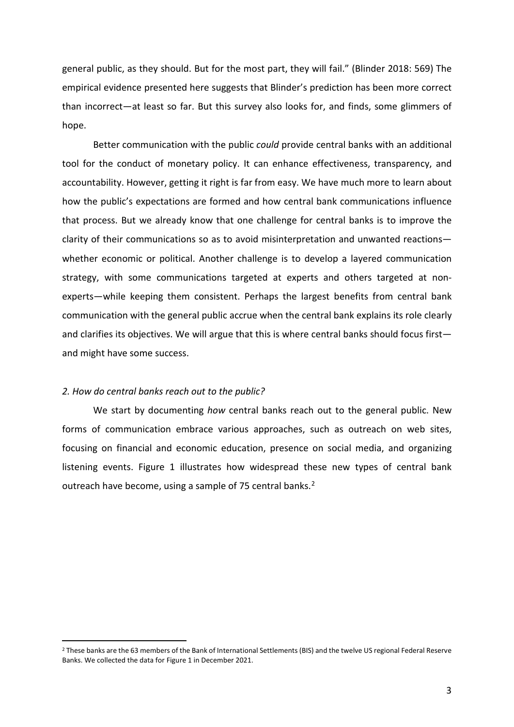general public, as they should. But for the most part, they will fail." (Blinder 2018: 569) The empirical evidence presented here suggests that Blinder's prediction has been more correct than incorrect—at least so far. But this survey also looks for, and finds, some glimmers of hope.

Better communication with the public *could* provide central banks with an additional tool for the conduct of monetary policy. It can enhance effectiveness, transparency, and accountability. However, getting it right is far from easy. We have much more to learn about how the public's expectations are formed and how central bank communications influence that process. But we already know that one challenge for central banks is to improve the clarity of their communications so as to avoid misinterpretation and unwanted reactions whether economic or political. Another challenge is to develop a layered communication strategy, with some communications targeted at experts and others targeted at nonexperts—while keeping them consistent. Perhaps the largest benefits from central bank communication with the general public accrue when the central bank explains its role clearly and clarifies its objectives. We will argue that this is where central banks should focus first and might have some success.

## *2. How do central banks reach out to the public?*

We start by documenting *how* central banks reach out to the general public. New forms of communication embrace various approaches, such as outreach on web sites, focusing on financial and economic education, presence on social media, and organizing listening events. Figure 1 illustrates how widespread these new types of central bank outreach have become, using a sample of 75 central banks.<sup>[2](#page-3-0)</sup>

<span id="page-3-0"></span> <sup>2</sup> These banks are the 63 members of the Bank of International Settlements (BIS) and the twelve US regional Federal Reserve Banks. We collected the data for Figure 1 in December 2021.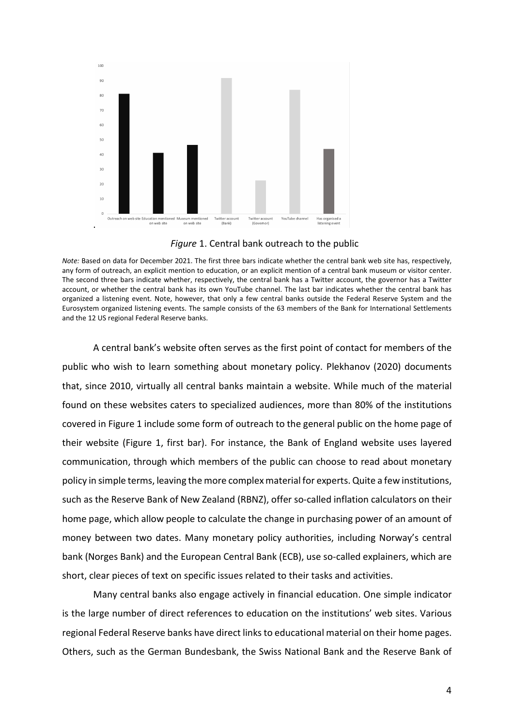

*Figure* 1. Central bank outreach to the public

*Note:* Based on data for December 2021. The first three bars indicate whether the central bank web site has, respectively, any form of outreach, an explicit mention to education, or an explicit mention of a central bank museum or visitor center. The second three bars indicate whether, respectively, the central bank has a Twitter account, the governor has a Twitter account, or whether the central bank has its own YouTube channel. The last bar indicates whether the central bank has organized a listening event. Note, however, that only a few central banks outside the Federal Reserve System and the Eurosystem organized listening events. The sample consists of the 63 members of the Bank for International Settlements and the 12 US regional Federal Reserve banks.

A central bank's website often serves as the first point of contact for members of the public who wish to learn something about monetary policy. Plekhanov (2020) documents that, since 2010, virtually all central banks maintain a website. While much of the material found on these websites caters to specialized audiences, more than 80% of the institutions covered in Figure 1 include some form of outreach to the general public on the home page of their website (Figure 1, first bar). For instance, the Bank of England website uses layered communication, through which members of the public can choose to read about monetary policy in simple terms, leaving the more complex material for experts. Quite a few institutions, such as the Reserve Bank of New Zealand (RBNZ), offer so-called inflation calculators on their home page, which allow people to calculate the change in purchasing power of an amount of money between two dates. Many monetary policy authorities, including Norway's central bank (Norges Bank) and the European Central Bank (ECB), use so-called explainers, which are short, clear pieces of text on specific issues related to their tasks and activities.

Many central banks also engage actively in financial education. One simple indicator is the large number of direct references to education on the institutions' web sites. Various regional Federal Reserve banks have direct links to educational material on their home pages. Others, such as the German Bundesbank, the Swiss National Bank and the Reserve Bank of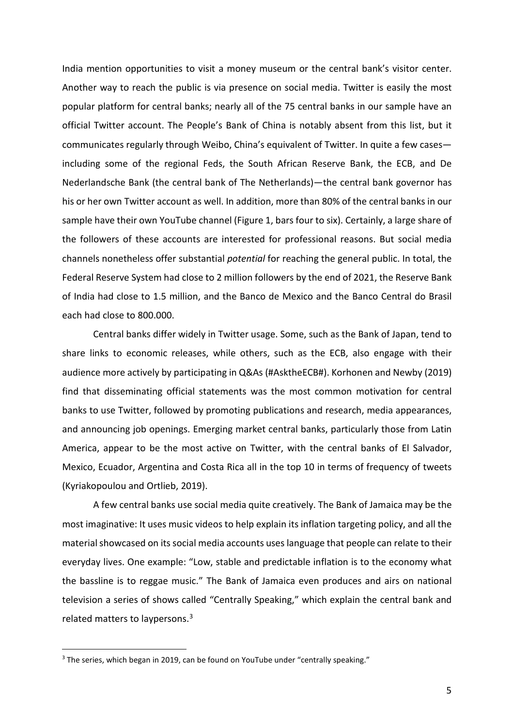India mention opportunities to visit a money museum or the central bank's visitor center. Another way to reach the public is via presence on social media. Twitter is easily the most popular platform for central banks; nearly all of the 75 central banks in our sample have an official Twitter account. The People's Bank of China is notably absent from this list, but it communicates regularly through Weibo, China's equivalent of Twitter. In quite a few cases including some of the regional Feds, the South African Reserve Bank, the ECB, and De Nederlandsche Bank (the central bank of The Netherlands)—the central bank governor has his or her own Twitter account as well. In addition, more than 80% of the central banks in our sample have their own YouTube channel (Figure 1, bars four to six). Certainly, a large share of the followers of these accounts are interested for professional reasons. But social media channels nonetheless offer substantial *potential* for reaching the general public. In total, the Federal Reserve System had close to 2 million followers by the end of 2021, the Reserve Bank of India had close to 1.5 million, and the Banco de Mexico and the Banco Central do Brasil each had close to 800.000.

Central banks differ widely in Twitter usage. Some, such as the Bank of Japan, tend to share links to economic releases, while others, such as the ECB, also engage with their audience more actively by participating in Q&As (#AsktheECB#). Korhonen and Newby (2019) find that disseminating official statements was the most common motivation for central banks to use Twitter, followed by promoting publications and research, media appearances, and announcing job openings. Emerging market central banks, particularly those from Latin America, appear to be the most active on Twitter, with the central banks of El Salvador, Mexico, Ecuador, Argentina and Costa Rica all in the top 10 in terms of frequency of tweets (Kyriakopoulou and Ortlieb, 2019).

A few central banks use social media quite creatively. The Bank of Jamaica may be the most imaginative: It uses music videos to help explain its inflation targeting policy, and all the material showcased on its social media accounts uses language that people can relate to their everyday lives. One example: "Low, stable and predictable inflation is to the economy what the bassline is to reggae music." The Bank of Jamaica even produces and airs on national television a series of shows called "Centrally Speaking," which explain the central bank and related matters to laypersons.[3](#page-5-0)

<span id="page-5-0"></span><sup>&</sup>lt;sup>3</sup> The series, which began in 2019, can be found on YouTube under "centrally speaking."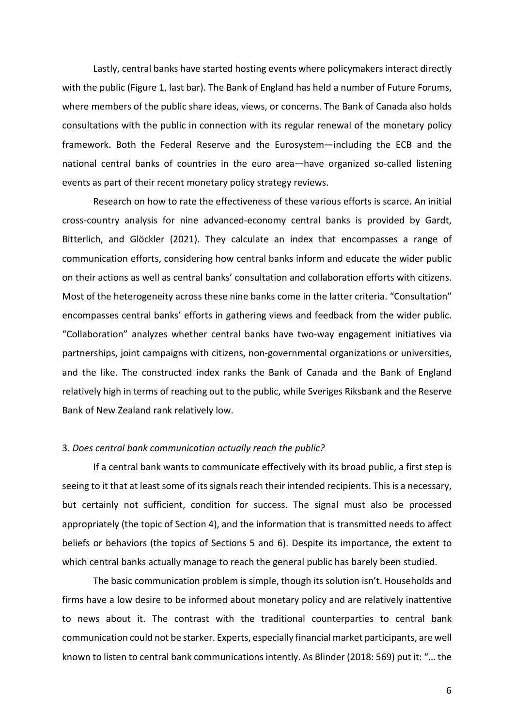Lastly, central banks have started hosting events where policymakers interact directly with the public (Figure 1, last bar). The Bank of England has held a number of Future Forums, where members of the public share ideas, views, or concerns. The Bank of Canada also holds consultations with the public in connection with its regular renewal of the monetary policy framework. Both the Federal Reserve and the Eurosystem—including the ECB and the national central banks of countries in the euro area—have organized so-called listening events as part of their recent monetary policy strategy reviews.

Research on how to rate the effectiveness of these various efforts is scarce. An initial cross-country analysis for nine advanced-economy central banks is provided by Gardt, Bitterlich, and Glöckler (2021). They calculate an index that encompasses a range of communication efforts, considering how central banks inform and educate the wider public on their actions as well as central banks' consultation and collaboration efforts with citizens. Most of the heterogeneity across these nine banks come in the latter criteria. "Consultation" encompasses central banks' efforts in gathering views and feedback from the wider public. "Collaboration" analyzes whether central banks have two-way engagement initiatives via partnerships, joint campaigns with citizens, non-governmental organizations or universities, and the like. The constructed index ranks the Bank of Canada and the Bank of England relatively high in terms of reaching out to the public, while Sveriges Riksbank and the Reserve Bank of New Zealand rank relatively low.

## 3. *Does central bank communication actually reach the public?*

If a central bank wants to communicate effectively with its broad public, a first step is seeing to it that at least some of its signals reach their intended recipients. This is a necessary, but certainly not sufficient, condition for success. The signal must also be processed appropriately (the topic of Section 4), and the information that is transmitted needs to affect beliefs or behaviors (the topics of Sections 5 and 6). Despite its importance, the extent to which central banks actually manage to reach the general public has barely been studied.

The basic communication problem is simple, though its solution isn't. Households and firms have a low desire to be informed about monetary policy and are relatively inattentive to news about it. The contrast with the traditional counterparties to central bank communication could not be starker. Experts, especially financial market participants, are well known to listen to central bank communications intently. As Blinder (2018: 569) put it: "… the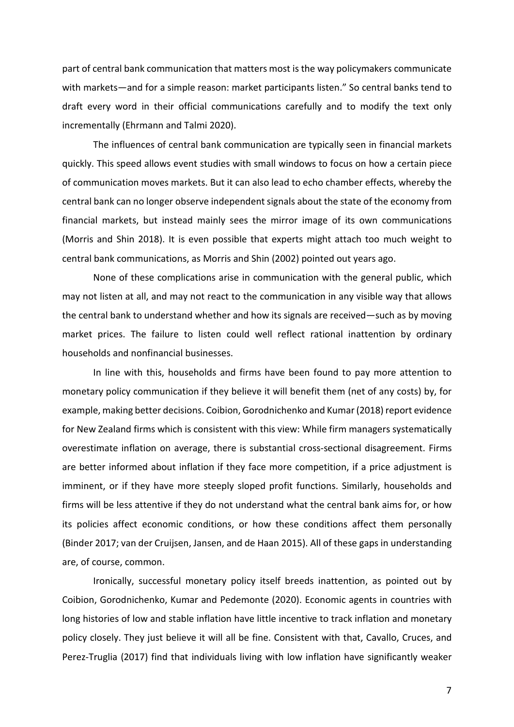part of central bank communication that matters most is the way policymakers communicate with markets—and for a simple reason: market participants listen." So central banks tend to draft every word in their official communications carefully and to modify the text only incrementally (Ehrmann and Talmi 2020).

The influences of central bank communication are typically seen in financial markets quickly. This speed allows event studies with small windows to focus on how a certain piece of communication moves markets. But it can also lead to echo chamber effects, whereby the central bank can no longer observe independent signals about the state of the economy from financial markets, but instead mainly sees the mirror image of its own communications (Morris and Shin 2018). It is even possible that experts might attach too much weight to central bank communications, as Morris and Shin (2002) pointed out years ago.

None of these complications arise in communication with the general public, which may not listen at all, and may not react to the communication in any visible way that allows the central bank to understand whether and how its signals are received—such as by moving market prices. The failure to listen could well reflect rational inattention by ordinary households and nonfinancial businesses.

In line with this, households and firms have been found to pay more attention to monetary policy communication if they believe it will benefit them (net of any costs) by, for example, making better decisions. Coibion, Gorodnichenko and Kumar (2018) report evidence for New Zealand firms which is consistent with this view: While firm managers systematically overestimate inflation on average, there is substantial cross-sectional disagreement. Firms are better informed about inflation if they face more competition, if a price adjustment is imminent, or if they have more steeply sloped profit functions. Similarly, households and firms will be less attentive if they do not understand what the central bank aims for, or how its policies affect economic conditions, or how these conditions affect them personally (Binder 2017; van der Cruijsen, Jansen, and de Haan 2015). All of these gaps in understanding are, of course, common.

Ironically, successful monetary policy itself breeds inattention, as pointed out by Coibion, Gorodnichenko, Kumar and Pedemonte (2020). Economic agents in countries with long histories of low and stable inflation have little incentive to track inflation and monetary policy closely. They just believe it will all be fine. Consistent with that, Cavallo, Cruces, and Perez-Truglia (2017) find that individuals living with low inflation have significantly weaker

7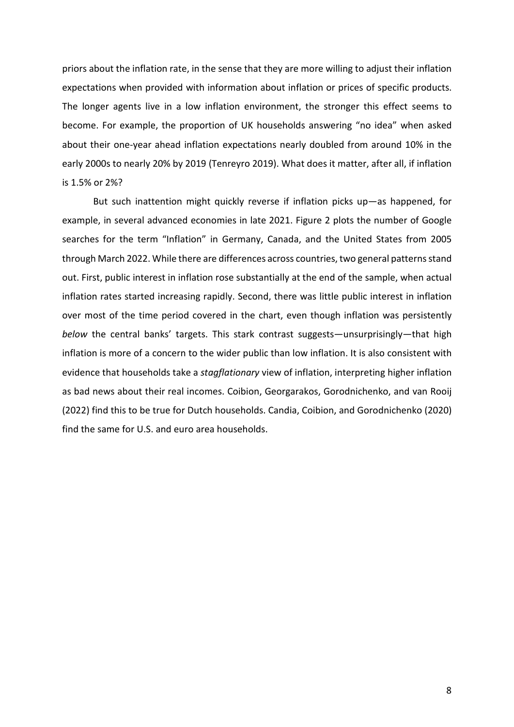priors about the inflation rate, in the sense that they are more willing to adjust their inflation expectations when provided with information about inflation or prices of specific products. The longer agents live in a low inflation environment, the stronger this effect seems to become. For example, the proportion of UK households answering "no idea" when asked about their one-year ahead inflation expectations nearly doubled from around 10% in the early 2000s to nearly 20% by 2019 (Tenreyro 2019). What does it matter, after all, if inflation is 1.5% or 2%?

But such inattention might quickly reverse if inflation picks up—as happened, for example, in several advanced economies in late 2021. Figure 2 plots the number of Google searches for the term "Inflation" in Germany, Canada, and the United States from 2005 through March 2022. While there are differences across countries, two general patterns stand out. First, public interest in inflation rose substantially at the end of the sample, when actual inflation rates started increasing rapidly. Second, there was little public interest in inflation over most of the time period covered in the chart, even though inflation was persistently *below* the central banks' targets. This stark contrast suggests—unsurprisingly—that high inflation is more of a concern to the wider public than low inflation. It is also consistent with evidence that households take a *stagflationary* view of inflation, interpreting higher inflation as bad news about their real incomes. Coibion, Georgarakos, Gorodnichenko, and van Rooij (2022) find this to be true for Dutch households. Candia, Coibion, and Gorodnichenko (2020) find the same for U.S. and euro area households.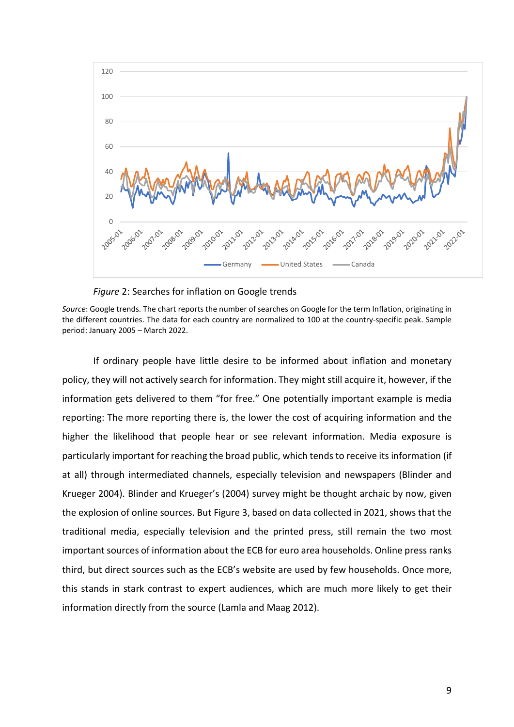

*Figure* 2: Searches for inflation on Google trends

*Source*: Google trends. The chart reports the number of searches on Google for the term Inflation, originating in the different countries. The data for each country are normalized to 100 at the country-specific peak. Sample period: January 2005 – March 2022.

If ordinary people have little desire to be informed about inflation and monetary policy, they will not actively search for information. They might still acquire it, however, if the information gets delivered to them "for free." One potentially important example is media reporting: The more reporting there is, the lower the cost of acquiring information and the higher the likelihood that people hear or see relevant information. Media exposure is particularly important for reaching the broad public, which tends to receive its information (if at all) through intermediated channels, especially television and newspapers (Blinder and Krueger 2004). Blinder and Krueger's (2004) survey might be thought archaic by now, given the explosion of online sources. But Figure 3, based on data collected in 2021, shows that the traditional media, especially television and the printed press, still remain the two most important sources of information about the ECB for euro area households. Online press ranks third, but direct sources such as the ECB's website are used by few households. Once more, this stands in stark contrast to expert audiences, which are much more likely to get their information directly from the source (Lamla and Maag 2012).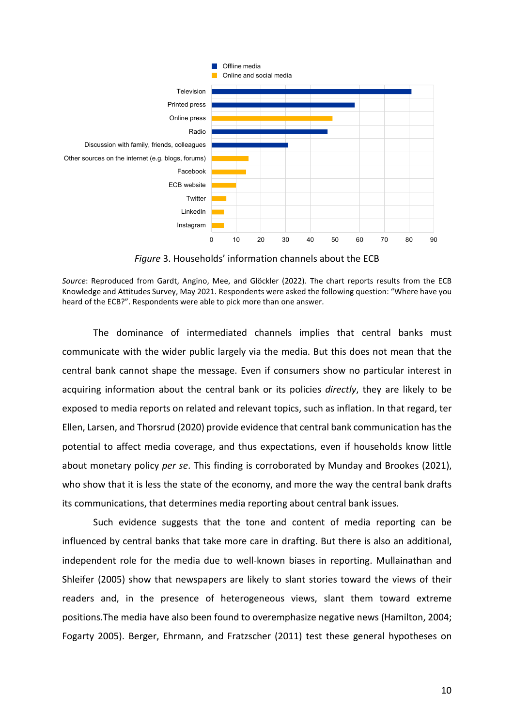

*Figure* 3. Households' information channels about the ECB

The dominance of intermediated channels implies that central banks must communicate with the wider public largely via the media. But this does not mean that the central bank cannot shape the message. Even if consumers show no particular interest in acquiring information about the central bank or its policies *directly*, they are likely to be exposed to media reports on related and relevant topics, such as inflation. In that regard, ter Ellen, Larsen, and Thorsrud (2020) provide evidence that central bank communication has the potential to affect media coverage, and thus expectations, even if households know little about monetary policy *per se*. This finding is corroborated by Munday and Brookes (2021), who show that it is less the state of the economy, and more the way the central bank drafts its communications, that determines media reporting about central bank issues.

Such evidence suggests that the tone and content of media reporting can be influenced by central banks that take more care in drafting. But there is also an additional, independent role for the media due to well-known biases in reporting. Mullainathan and Shleifer (2005) show that newspapers are likely to slant stories toward the views of their readers and, in the presence of heterogeneous views, slant them toward extreme positions.The media have also been found to overemphasize negative news (Hamilton, 2004; Fogarty 2005). Berger, Ehrmann, and Fratzscher (2011) test these general hypotheses on

*Source*: Reproduced from Gardt, Angino, Mee, and Glöckler (2022). The chart reports results from the ECB Knowledge and Attitudes Survey, May 2021. Respondents were asked the following question: "Where have you heard of the ECB?". Respondents were able to pick more than one answer.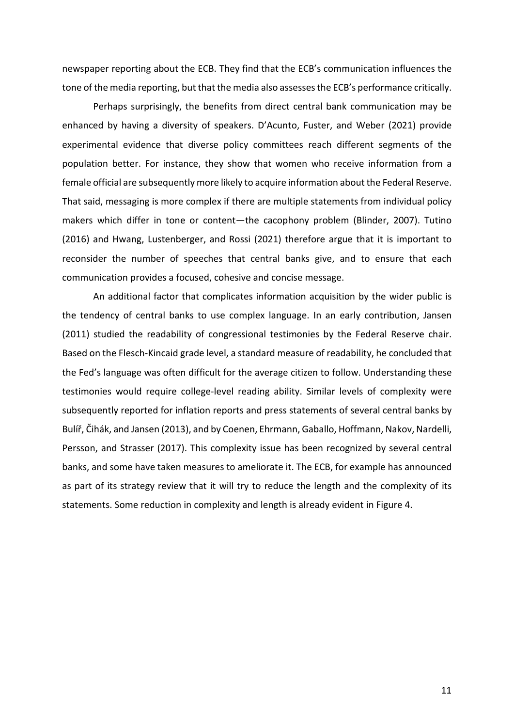newspaper reporting about the ECB. They find that the ECB's communication influences the tone of the media reporting, but that the media also assesses the ECB's performance critically.

Perhaps surprisingly, the benefits from direct central bank communication may be enhanced by having a diversity of speakers. D'Acunto, Fuster, and Weber (2021) provide experimental evidence that diverse policy committees reach different segments of the population better. For instance, they show that women who receive information from a female official are subsequently more likely to acquire information about the Federal Reserve. That said, messaging is more complex if there are multiple statements from individual policy makers which differ in tone or content—the cacophony problem (Blinder, 2007). Tutino (2016) and Hwang, Lustenberger, and Rossi (2021) therefore argue that it is important to reconsider the number of speeches that central banks give, and to ensure that each communication provides a focused, cohesive and concise message.

An additional factor that complicates information acquisition by the wider public is the tendency of central banks to use complex language. In an early contribution, Jansen (2011) studied the readability of congressional testimonies by the Federal Reserve chair. Based on the Flesch-Kincaid grade level, a standard measure of readability, he concluded that the Fed's language was often difficult for the average citizen to follow. Understanding these testimonies would require college-level reading ability. Similar levels of complexity were subsequently reported for inflation reports and press statements of several central banks by Bulíř, Čihák, and Jansen (2013), and by Coenen, Ehrmann, Gaballo, Hoffmann, Nakov, Nardelli, Persson, and Strasser (2017). This complexity issue has been recognized by several central banks, and some have taken measures to ameliorate it. The ECB, for example has announced as part of its strategy review that it will try to reduce the length and the complexity of its statements. Some reduction in complexity and length is already evident in Figure 4.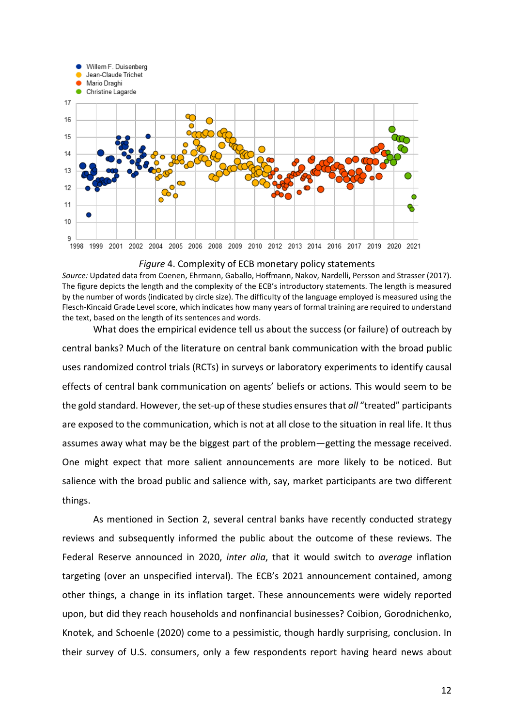

*Figure* 4. Complexity of ECB monetary policy statements

*Source:* Updated data from Coenen, Ehrmann, Gaballo, Hoffmann, Nakov, Nardelli, Persson and Strasser (2017). The figure depicts the length and the complexity of the ECB's introductory statements. The length is measured by the number of words (indicated by circle size). The difficulty of the language employed is measured using the Flesch-Kincaid Grade Level score, which indicates how many years of formal training are required to understand the text, based on the length of its sentences and words.

What does the empirical evidence tell us about the success (or failure) of outreach by central banks? Much of the literature on central bank communication with the broad public uses randomized control trials (RCTs) in surveys or laboratory experiments to identify causal effects of central bank communication on agents' beliefs or actions. This would seem to be the gold standard. However, the set-up of these studies ensuresthat *all* "treated" participants are exposed to the communication, which is not at all close to the situation in real life. It thus assumes away what may be the biggest part of the problem—getting the message received. One might expect that more salient announcements are more likely to be noticed. But salience with the broad public and salience with, say, market participants are two different things.

As mentioned in Section 2, several central banks have recently conducted strategy reviews and subsequently informed the public about the outcome of these reviews. The Federal Reserve announced in 2020, *inter alia*, that it would switch to *average* inflation targeting (over an unspecified interval). The ECB's 2021 announcement contained, among other things, a change in its inflation target. These announcements were widely reported upon, but did they reach households and nonfinancial businesses? Coibion, Gorodnichenko, Knotek, and Schoenle (2020) come to a pessimistic, though hardly surprising, conclusion. In their survey of U.S. consumers, only a few respondents report having heard news about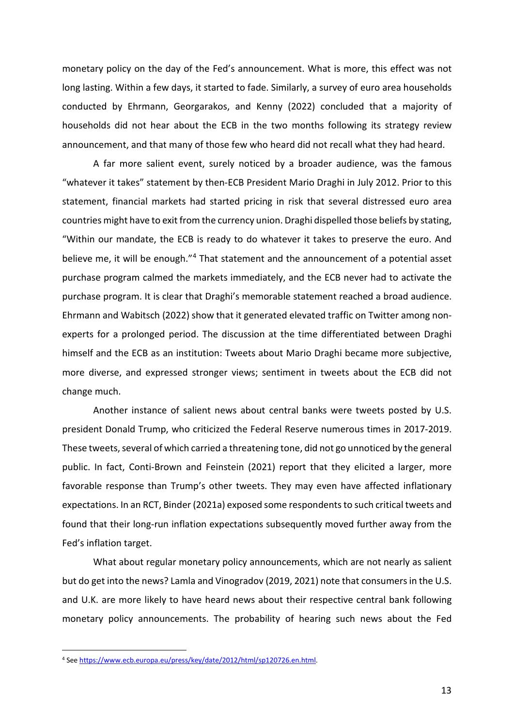monetary policy on the day of the Fed's announcement. What is more, this effect was not long lasting. Within a few days, it started to fade. Similarly, a survey of euro area households conducted by Ehrmann, Georgarakos, and Kenny (2022) concluded that a majority of households did not hear about the ECB in the two months following its strategy review announcement, and that many of those few who heard did not recall what they had heard.

A far more salient event, surely noticed by a broader audience, was the famous "whatever it takes" statement by then-ECB President Mario Draghi in July 2012. Prior to this statement, financial markets had started pricing in risk that several distressed euro area countries might have to exit from the currency union. Draghi dispelled those beliefs by stating, "Within our mandate, the ECB is ready to do whatever it takes to preserve the euro. And believe me, it will be enough."<sup>4</sup> That statement and the announcement of a potential asset purchase program calmed the markets immediately, and the ECB never had to activate the purchase program. It is clear that Draghi's memorable statement reached a broad audience. Ehrmann and Wabitsch (2022) show that it generated elevated traffic on Twitter among nonexperts for a prolonged period. The discussion at the time differentiated between Draghi himself and the ECB as an institution: Tweets about Mario Draghi became more subjective, more diverse, and expressed stronger views; sentiment in tweets about the ECB did not change much.

Another instance of salient news about central banks were tweets posted by U.S. president Donald Trump, who criticized the Federal Reserve numerous times in 2017-2019. These tweets, several of which carried a threatening tone, did not go unnoticed by the general public. In fact, Conti-Brown and Feinstein (2021) report that they elicited a larger, more favorable response than Trump's other tweets. They may even have affected inflationary expectations. In an RCT, Binder (2021a) exposed some respondents to such critical tweets and found that their long-run inflation expectations subsequently moved further away from the Fed's inflation target.

What about regular monetary policy announcements, which are not nearly as salient but do get into the news? Lamla and Vinogradov (2019, 2021) note that consumers in the U.S. and U.K. are more likely to have heard news about their respective central bank following monetary policy announcements. The probability of hearing such news about the Fed

<span id="page-13-0"></span> <sup>4</sup> Se[e https://www.ecb.europa.eu/press/key/date/2012/html/sp120726.en.html.](https://www.ecb.europa.eu/press/key/date/2012/html/sp120726.en.html)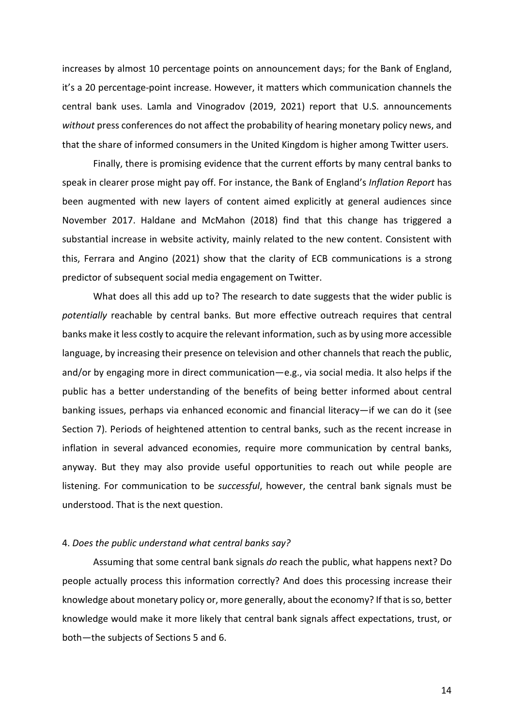increases by almost 10 percentage points on announcement days; for the Bank of England, it's a 20 percentage-point increase. However, it matters which communication channels the central bank uses. Lamla and Vinogradov (2019, 2021) report that U.S. announcements *without* press conferences do not affect the probability of hearing monetary policy news, and that the share of informed consumers in the United Kingdom is higher among Twitter users.

Finally, there is promising evidence that the current efforts by many central banks to speak in clearer prose might pay off. For instance, the Bank of England's *Inflation Report* has been augmented with new layers of content aimed explicitly at general audiences since November 2017. Haldane and McMahon (2018) find that this change has triggered a substantial increase in website activity, mainly related to the new content. Consistent with this, Ferrara and Angino (2021) show that the clarity of ECB communications is a strong predictor of subsequent social media engagement on Twitter.

What does all this add up to? The research to date suggests that the wider public is *potentially* reachable by central banks. But more effective outreach requires that central banks make it less costly to acquire the relevant information, such as by using more accessible language, by increasing their presence on television and other channels that reach the public, and/or by engaging more in direct communication—e.g., via social media. It also helps if the public has a better understanding of the benefits of being better informed about central banking issues, perhaps via enhanced economic and financial literacy—if we can do it (see Section 7). Periods of heightened attention to central banks, such as the recent increase in inflation in several advanced economies, require more communication by central banks, anyway. But they may also provide useful opportunities to reach out while people are listening. For communication to be *successful*, however, the central bank signals must be understood. That is the next question.

### 4. *Does the public understand what central banks say?*

Assuming that some central bank signals *do* reach the public, what happens next? Do people actually process this information correctly? And does this processing increase their knowledge about monetary policy or, more generally, about the economy? If that is so, better knowledge would make it more likely that central bank signals affect expectations, trust, or both—the subjects of Sections 5 and 6.

14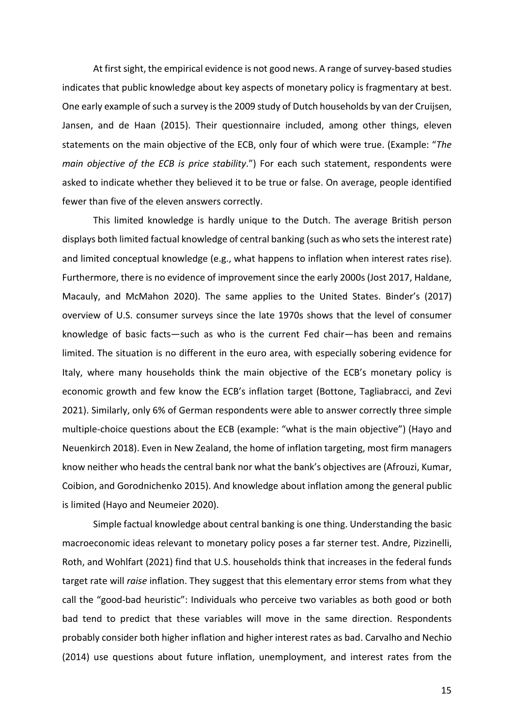At first sight, the empirical evidence is not good news. A range of survey-based studies indicates that public knowledge about key aspects of monetary policy is fragmentary at best. One early example of such a survey is the 2009 study of Dutch households by van der Cruijsen, Jansen, and de Haan (2015). Their questionnaire included, among other things, eleven statements on the main objective of the ECB, only four of which were true. (Example: "*The main objective of the ECB is price stability*.") For each such statement, respondents were asked to indicate whether they believed it to be true or false. On average, people identified fewer than five of the eleven answers correctly.

This limited knowledge is hardly unique to the Dutch. The average British person displays both limited factual knowledge of central banking (such as who sets the interest rate) and limited conceptual knowledge (e.g., what happens to inflation when interest rates rise). Furthermore, there is no evidence of improvement since the early 2000s (Jost 2017, Haldane, Macauly, and McMahon 2020). The same applies to the United States. Binder's (2017) overview of U.S. consumer surveys since the late 1970s shows that the level of consumer knowledge of basic facts—such as who is the current Fed chair—has been and remains limited. The situation is no different in the euro area, with especially sobering evidence for Italy, where many households think the main objective of the ECB's monetary policy is economic growth and few know the ECB's inflation target (Bottone, Tagliabracci, and Zevi 2021). Similarly, only 6% of German respondents were able to answer correctly three simple multiple-choice questions about the ECB (example: "what is the main objective") (Hayo and Neuenkirch 2018). Even in New Zealand, the home of inflation targeting, most firm managers know neither who heads the central bank nor what the bank's objectives are (Afrouzi, Kumar, Coibion, and Gorodnichenko 2015). And knowledge about inflation among the general public is limited (Hayo and Neumeier 2020).

Simple factual knowledge about central banking is one thing. Understanding the basic macroeconomic ideas relevant to monetary policy poses a far sterner test. Andre, Pizzinelli, Roth, and Wohlfart (2021) find that U.S. households think that increases in the federal funds target rate will *raise* inflation. They suggest that this elementary error stems from what they call the "good-bad heuristic": Individuals who perceive two variables as both good or both bad tend to predict that these variables will move in the same direction. Respondents probably consider both higher inflation and higher interest rates as bad. Carvalho and Nechio (2014) use questions about future inflation, unemployment, and interest rates from the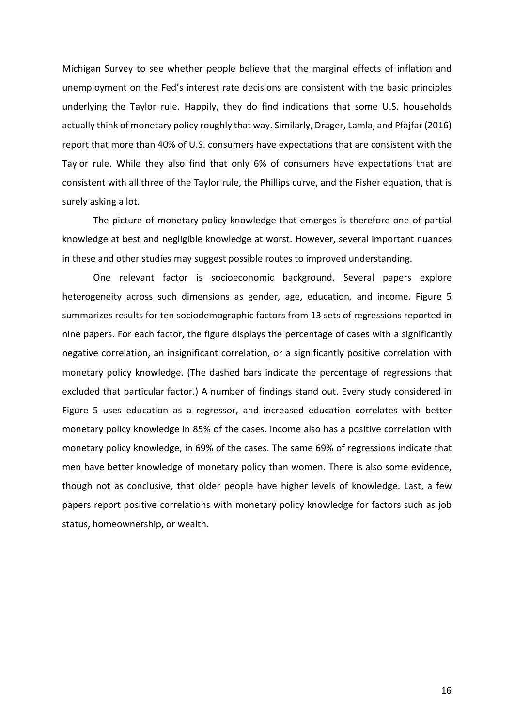Michigan Survey to see whether people believe that the marginal effects of inflation and unemployment on the Fed's interest rate decisions are consistent with the basic principles underlying the Taylor rule. Happily, they do find indications that some U.S. households actually think of monetary policy roughly that way. Similarly, Drager, Lamla, and Pfajfar (2016) report that more than 40% of U.S. consumers have expectations that are consistent with the Taylor rule. While they also find that only 6% of consumers have expectations that are consistent with all three of the Taylor rule, the Phillips curve, and the Fisher equation, that is surely asking a lot.

The picture of monetary policy knowledge that emerges is therefore one of partial knowledge at best and negligible knowledge at worst. However, several important nuances in these and other studies may suggest possible routes to improved understanding.

One relevant factor is socioeconomic background. Several papers explore heterogeneity across such dimensions as gender, age, education, and income. Figure 5 summarizes results for ten sociodemographic factors from 13 sets of regressions reported in nine papers. For each factor, the figure displays the percentage of cases with a significantly negative correlation, an insignificant correlation, or a significantly positive correlation with monetary policy knowledge. (The dashed bars indicate the percentage of regressions that excluded that particular factor.) A number of findings stand out. Every study considered in Figure 5 uses education as a regressor, and increased education correlates with better monetary policy knowledge in 85% of the cases. Income also has a positive correlation with monetary policy knowledge, in 69% of the cases. The same 69% of regressions indicate that men have better knowledge of monetary policy than women. There is also some evidence, though not as conclusive, that older people have higher levels of knowledge. Last, a few papers report positive correlations with monetary policy knowledge for factors such as job status, homeownership, or wealth.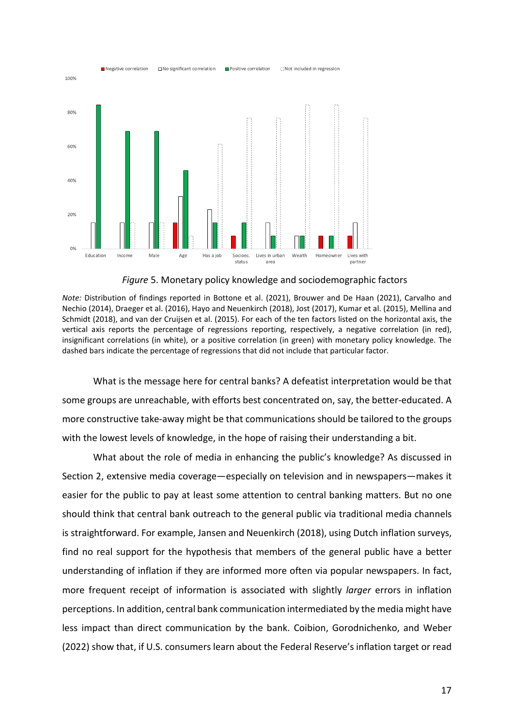

*Figure* 5. Monetary policy knowledge and sociodemographic factors

*Note:* Distribution of findings reported in Bottone et al. (2021), Brouwer and De Haan (2021), Carvalho and Nechio (2014), Draeger et al. (2016), Hayo and Neuenkirch (2018), Jost (2017), Kumar et al. (2015), Mellina and Schmidt (2018), and van der Cruijsen et al. (2015). For each of the ten factors listed on the horizontal axis, the vertical axis reports the percentage of regressions reporting, respectively, a negative correlation (in red), insignificant correlations (in white), or a positive correlation (in green) with monetary policy knowledge. The dashed bars indicate the percentage of regressions that did not include that particular factor.

What is the message here for central banks? A defeatist interpretation would be that some groups are unreachable, with efforts best concentrated on, say, the better-educated. A more constructive take-away might be that communications should be tailored to the groups with the lowest levels of knowledge, in the hope of raising their understanding a bit.

What about the role of media in enhancing the public's knowledge? As discussed in Section 2, extensive media coverage—especially on television and in newspapers—makes it easier for the public to pay at least some attention to central banking matters. But no one should think that central bank outreach to the general public via traditional media channels is straightforward. For example, Jansen and Neuenkirch (2018), using Dutch inflation surveys, find no real support for the hypothesis that members of the general public have a better understanding of inflation if they are informed more often via popular newspapers. In fact, more frequent receipt of information is associated with slightly *larger* errors in inflation perceptions. In addition, central bank communication intermediated by the media might have less impact than direct communication by the bank. Coibion, Gorodnichenko, and Weber (2022) show that, if U.S. consumers learn about the Federal Reserve's inflation target or read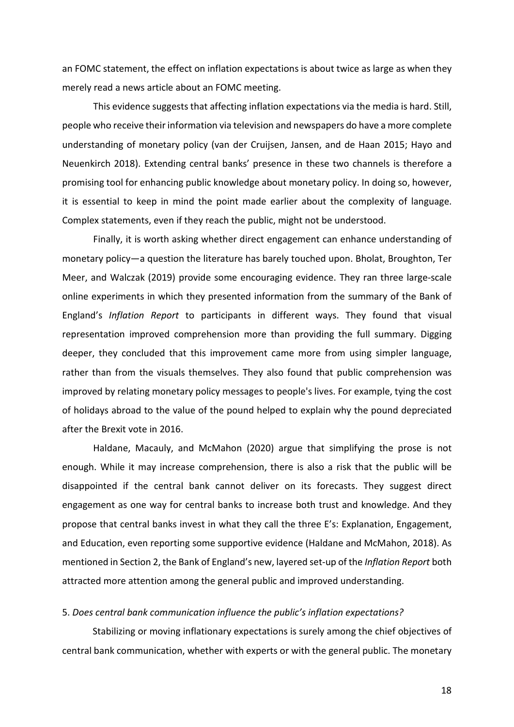an FOMC statement, the effect on inflation expectations is about twice as large as when they merely read a news article about an FOMC meeting.

This evidence suggests that affecting inflation expectations via the media is hard. Still, people who receive their information via television and newspapers do have a more complete understanding of monetary policy (van der Cruijsen, Jansen, and de Haan 2015; Hayo and Neuenkirch 2018). Extending central banks' presence in these two channels is therefore a promising tool for enhancing public knowledge about monetary policy. In doing so, however, it is essential to keep in mind the point made earlier about the complexity of language. Complex statements, even if they reach the public, might not be understood.

Finally, it is worth asking whether direct engagement can enhance understanding of monetary policy—a question the literature has barely touched upon. Bholat, Broughton, Ter Meer, and Walczak (2019) provide some encouraging evidence. They ran three large-scale online experiments in which they presented information from the summary of the Bank of England's *Inflation Report* to participants in different ways. They found that visual representation improved comprehension more than providing the full summary. Digging deeper, they concluded that this improvement came more from using simpler language, rather than from the visuals themselves. They also found that public comprehension was improved by relating monetary policy messages to people's lives. For example, tying the cost of holidays abroad to the value of the pound helped to explain why the pound depreciated after the Brexit vote in 2016.

Haldane, Macauly, and McMahon (2020) argue that simplifying the prose is not enough. While it may increase comprehension, there is also a risk that the public will be disappointed if the central bank cannot deliver on its forecasts. They suggest direct engagement as one way for central banks to increase both trust and knowledge. And they propose that central banks invest in what they call the three E's: Explanation, Engagement, and Education, even reporting some supportive evidence (Haldane and McMahon, 2018). As mentioned in Section 2, the Bank of England's new, layered set-up of the *Inflation Report* both attracted more attention among the general public and improved understanding.

#### 5. *Does central bank communication influence the public's inflation expectations?*

Stabilizing or moving inflationary expectations is surely among the chief objectives of central bank communication, whether with experts or with the general public. The monetary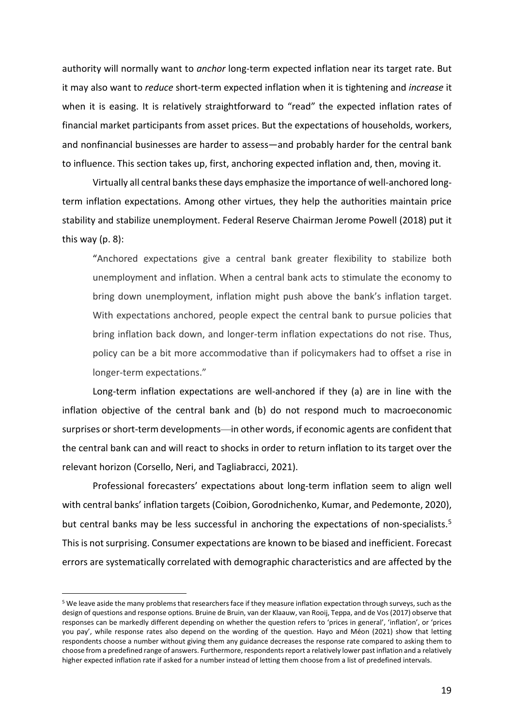authority will normally want to *anchor* long-term expected inflation near its target rate. But it may also want to *reduce* short-term expected inflation when it is tightening and *increase* it when it is easing. It is relatively straightforward to "read" the expected inflation rates of financial market participants from asset prices. But the expectations of households, workers, and nonfinancial businesses are harder to assess—and probably harder for the central bank to influence. This section takes up, first, anchoring expected inflation and, then, moving it.

Virtually all central banksthese days emphasize the importance of well-anchored longterm inflation expectations. Among other virtues, they help the authorities maintain price stability and stabilize unemployment. Federal Reserve Chairman Jerome Powell (2018) put it this way (p. 8):

"Anchored expectations give a central bank greater flexibility to stabilize both unemployment and inflation. When a central bank acts to stimulate the economy to bring down unemployment, inflation might push above the bank's inflation target. With expectations anchored, people expect the central bank to pursue policies that bring inflation back down, and longer-term inflation expectations do not rise. Thus, policy can be a bit more accommodative than if policymakers had to offset a rise in longer-term expectations."

Long-term inflation expectations are well-anchored if they (a) are in line with the inflation objective of the central bank and (b) do not respond much to macroeconomic surprises or short-term developments—in other words, if economic agents are confident that the central bank can and will react to shocks in order to return inflation to its target over the relevant horizon (Corsello, Neri, and Tagliabracci, 2021).

Professional forecasters' expectations about long-term inflation seem to align well with central banks' inflation targets (Coibion, Gorodnichenko, Kumar, and Pedemonte, 2020), but central banks may be less successful in anchoring the expectations of non-specialists.[5](#page-19-0) This is not surprising. Consumer expectations are known to be biased and inefficient. Forecast errors are systematically correlated with demographic characteristics and are affected by the

<span id="page-19-0"></span> <sup>5</sup> We leave aside the many problems that researchers face if they measure inflation expectation through surveys, such asthe design of questions and response options. Bruine de Bruin, van der Klaauw, van Rooij, Teppa, and de Vos (2017) observe that responses can be markedly different depending on whether the question refers to 'prices in general', 'inflation', or 'prices you pay', while response rates also depend on the wording of the question. Hayo and Méon (2021) show that letting respondents choose a number without giving them any guidance decreases the response rate compared to asking them to choose from a predefined range of answers. Furthermore, respondents report a relatively lower past inflation and a relatively higher expected inflation rate if asked for a number instead of letting them choose from a list of predefined intervals.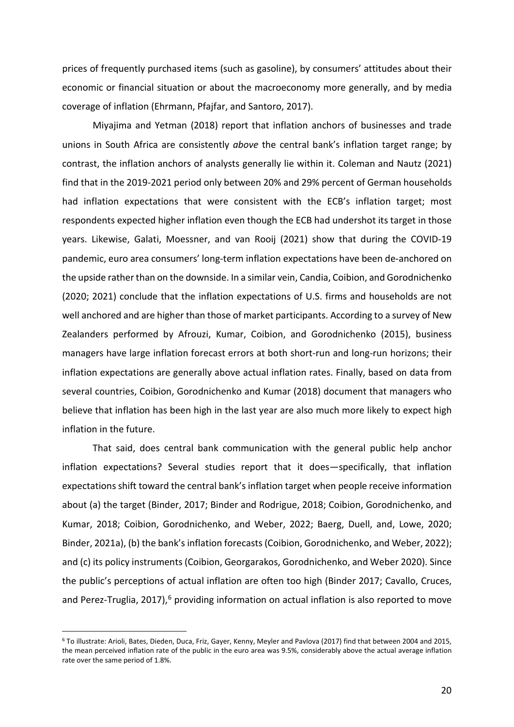prices of frequently purchased items (such as gasoline), by consumers' attitudes about their economic or financial situation or about the macroeconomy more generally, and by media coverage of inflation (Ehrmann, Pfajfar, and Santoro, 2017).

Miyajima and Yetman (2018) report that inflation anchors of businesses and trade unions in South Africa are consistently *above* the central bank's inflation target range; by contrast, the inflation anchors of analysts generally lie within it. Coleman and Nautz (2021) find that in the 2019-2021 period only between 20% and 29% percent of German households had inflation expectations that were consistent with the ECB's inflation target; most respondents expected higher inflation even though the ECB had undershot its target in those years. Likewise, Galati, Moessner, and van Rooij (2021) show that during the COVID-19 pandemic, euro area consumers' long-term inflation expectations have been de-anchored on the upside rather than on the downside. In a similar vein, Candia, Coibion, and Gorodnichenko (2020; 2021) conclude that the inflation expectations of U.S. firms and households are not well anchored and are higher than those of market participants. According to a survey of New Zealanders performed by Afrouzi, Kumar, Coibion, and Gorodnichenko (2015), business managers have large inflation forecast errors at both short-run and long-run horizons; their inflation expectations are generally above actual inflation rates. Finally, based on data from several countries, Coibion, Gorodnichenko and Kumar (2018) document that managers who believe that inflation has been high in the last year are also much more likely to expect high inflation in the future.

That said, does central bank communication with the general public help anchor inflation expectations? Several studies report that it does—specifically, that inflation expectations shift toward the central bank's inflation target when people receive information about (a) the target (Binder, 2017; Binder and Rodrigue, 2018; Coibion, Gorodnichenko, and Kumar, 2018; Coibion, Gorodnichenko, and Weber, 2022; Baerg, Duell, and, Lowe, 2020; Binder, 2021a), (b) the bank's inflation forecasts (Coibion, Gorodnichenko, and Weber, 2022); and (c) its policy instruments (Coibion, Georgarakos, Gorodnichenko, and Weber 2020). Since the public's perceptions of actual inflation are often too high (Binder 2017; Cavallo, Cruces, and Perez-Truglia, 2017),<sup>[6](#page-20-0)</sup> providing information on actual inflation is also reported to move

<span id="page-20-0"></span> <sup>6</sup> To illustrate: Arioli, Bates, Dieden, Duca, Friz, Gayer, Kenny, Meyler and Pavlova (2017) find that between 2004 and 2015, the mean perceived inflation rate of the public in the euro area was 9.5%, considerably above the actual average inflation rate over the same period of 1.8%.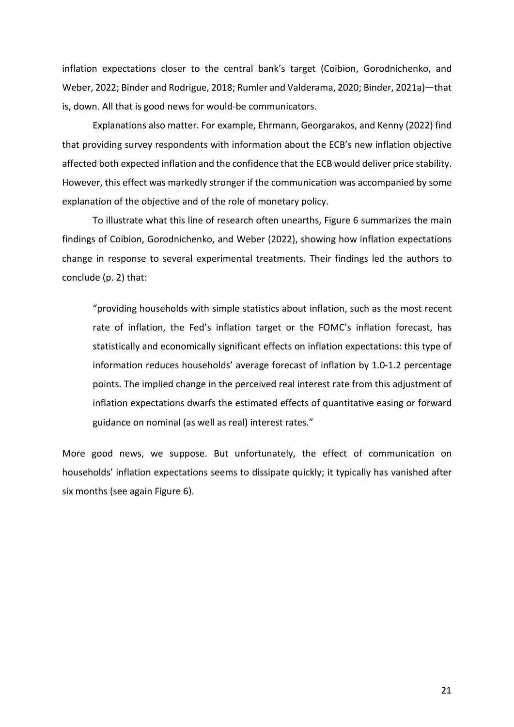inflation expectations closer to the central bank's target (Coibion, Gorodnichenko, and Weber, 2022; Binder and Rodrigue, 2018; Rumler and Valderama, 2020; Binder, 2021a)—that is, down. All that is good news for would-be communicators.

Explanations also matter. For example, Ehrmann, Georgarakos, and Kenny (2022) find that providing survey respondents with information about the ECB's new inflation objective affected both expected inflation and the confidence that the ECB would deliver price stability. However, this effect was markedly stronger if the communication was accompanied by some explanation of the objective and of the role of monetary policy.

To illustrate what this line of research often unearths, Figure 6 summarizes the main findings of Coibion, Gorodnichenko, and Weber (2022), showing how inflation expectations change in response to several experimental treatments. Their findings led the authors to conclude (p. 2) that:

"providing households with simple statistics about inflation, such as the most recent rate of inflation, the Fed's inflation target or the FOMC's inflation forecast, has statistically and economically significant effects on inflation expectations: this type of information reduces households' average forecast of inflation by 1.0-1.2 percentage points. The implied change in the perceived real interest rate from this adjustment of inflation expectations dwarfs the estimated effects of quantitative easing or forward guidance on nominal (as well as real) interest rates."

More good news, we suppose. But unfortunately, the effect of communication on households' inflation expectations seems to dissipate quickly; it typically has vanished after six months (see again Figure 6).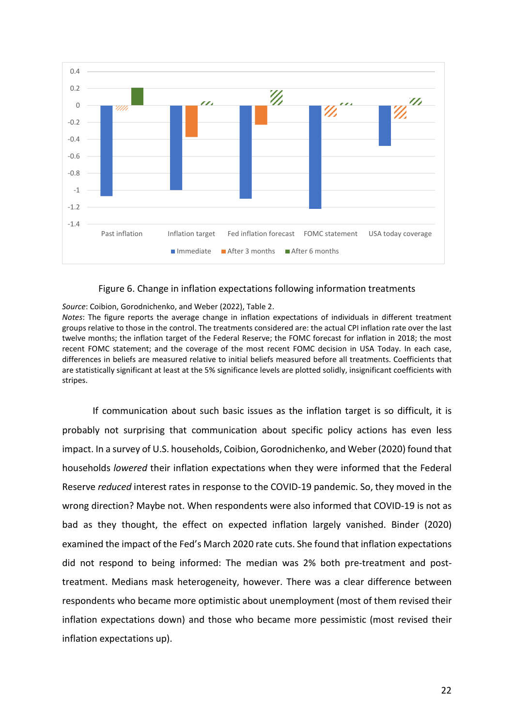

## Figure 6. Change in inflation expectations following information treatments

#### *Source*: Coibion, Gorodnichenko, and Weber (2022), Table 2.

*Notes*: The figure reports the average change in inflation expectations of individuals in different treatment groups relative to those in the control. The treatments considered are: the actual CPI inflation rate over the last twelve months; the inflation target of the Federal Reserve; the FOMC forecast for inflation in 2018; the most recent FOMC statement; and the coverage of the most recent FOMC decision in USA Today. In each case, differences in beliefs are measured relative to initial beliefs measured before all treatments. Coefficients that are statistically significant at least at the 5% significance levels are plotted solidly, insignificant coefficients with stripes.

If communication about such basic issues as the inflation target is so difficult, it is probably not surprising that communication about specific policy actions has even less impact. In a survey of U.S. households, Coibion, Gorodnichenko, and Weber (2020) found that households *lowered* their inflation expectations when they were informed that the Federal Reserve *reduced* interest rates in response to the COVID-19 pandemic. So, they moved in the wrong direction? Maybe not. When respondents were also informed that COVID-19 is not as bad as they thought, the effect on expected inflation largely vanished. Binder (2020) examined the impact of the Fed's March 2020 rate cuts. She found that inflation expectations did not respond to being informed: The median was 2% both pre-treatment and posttreatment. Medians mask heterogeneity, however. There was a clear difference between respondents who became more optimistic about unemployment (most of them revised their inflation expectations down) and those who became more pessimistic (most revised their inflation expectations up).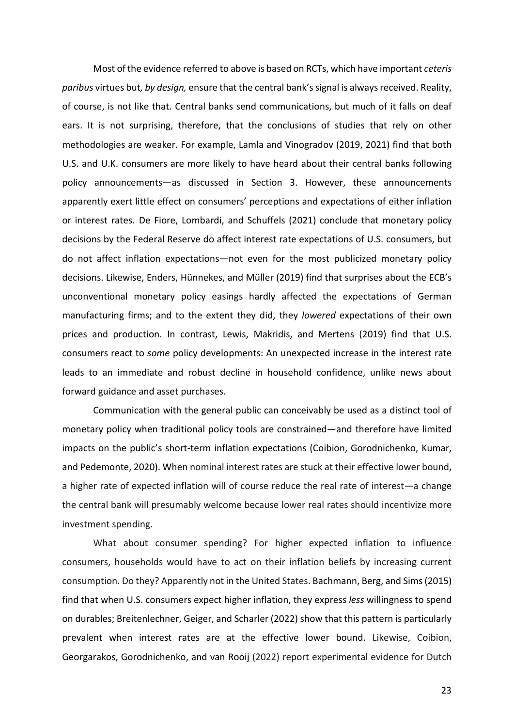Most of the evidence referred to above is based on RCTs, which have important *ceteris paribus* virtues but*, by design,* ensure that the central bank's signal is always received. Reality, of course, is not like that. Central banks send communications, but much of it falls on deaf ears. It is not surprising, therefore, that the conclusions of studies that rely on other methodologies are weaker. For example, Lamla and Vinogradov (2019, 2021) find that both U.S. and U.K. consumers are more likely to have heard about their central banks following policy announcements—as discussed in Section 3. However, these announcements apparently exert little effect on consumers' perceptions and expectations of either inflation or interest rates. De Fiore, Lombardi, and Schuffels (2021) conclude that monetary policy decisions by the Federal Reserve do affect interest rate expectations of U.S. consumers, but do not affect inflation expectations—not even for the most publicized monetary policy decisions. Likewise, Enders, Hünnekes, and Müller (2019) find that surprises about the ECB's unconventional monetary policy easings hardly affected the expectations of German manufacturing firms; and to the extent they did, they *lowered* expectations of their own prices and production. In contrast, Lewis, Makridis, and Mertens (2019) find that U.S. consumers react to *some* policy developments: An unexpected increase in the interest rate leads to an immediate and robust decline in household confidence, unlike news about forward guidance and asset purchases.

Communication with the general public can conceivably be used as a distinct tool of monetary policy when traditional policy tools are constrained—and therefore have limited impacts on the public's short-term inflation expectations (Coibion, Gorodnichenko, Kumar, and Pedemonte, 2020). When nominal interest rates are stuck at their effective lower bound, a higher rate of expected inflation will of course reduce the real rate of interest—a change the central bank will presumably welcome because lower real rates should incentivize more investment spending.

What about consumer spending? For higher expected inflation to influence consumers, households would have to act on their inflation beliefs by increasing current consumption. Do they? Apparently not in the United States. Bachmann, Berg, and Sims (2015) find that when U.S. consumers expect higher inflation, they express *less* willingness to spend on durables; Breitenlechner, Geiger, and Scharler (2022) show that this pattern is particularly prevalent when interest rates are at the effective lower bound. Likewise, Coibion, Georgarakos, Gorodnichenko, and van Rooij (2022) report experimental evidence for Dutch

23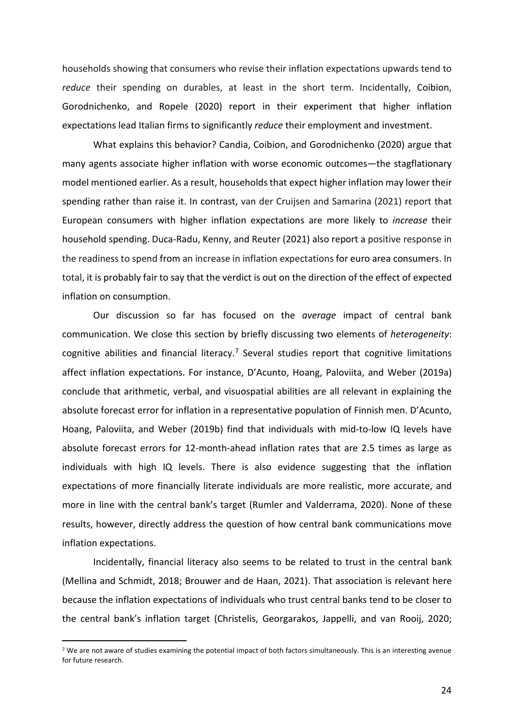households showing that consumers who revise their inflation expectations upwards tend to *reduce* their spending on durables, at least in the short term. Incidentally, Coibion, Gorodnichenko, and Ropele (2020) report in their experiment that higher inflation expectations lead Italian firms to significantly *reduce* their employment and investment.

What explains this behavior? Candia, Coibion, and Gorodnichenko (2020) argue that many agents associate higher inflation with worse economic outcomes—the stagflationary model mentioned earlier. As a result, households that expect higher inflation may lower their spending rather than raise it. In contrast, van der Cruijsen and Samarina (2021) report that European consumers with higher inflation expectations are more likely to *increase* their household spending. Duca-Radu, Kenny, and Reuter (2021) also report a positive response in the readiness to spend from an increase in inflation expectations for euro area consumers. In total, it is probably fair to say that the verdict is out on the direction of the effect of expected inflation on consumption.

Our discussion so far has focused on the *average* impact of central bank communication. We close this section by briefly discussing two elements of *heterogeneity*: cognitive abilities and financial literacy.<sup>[7](#page-24-0)</sup> Several studies report that cognitive limitations affect inflation expectations. For instance, D'Acunto, Hoang, Paloviita, and Weber (2019a) conclude that arithmetic, verbal, and visuospatial abilities are all relevant in explaining the absolute forecast error for inflation in a representative population of Finnish men. D'Acunto, Hoang, Paloviita, and Weber (2019b) find that individuals with mid-to-low IQ levels have absolute forecast errors for 12-month-ahead inflation rates that are 2.5 times as large as individuals with high IQ levels. There is also evidence suggesting that the inflation expectations of more financially literate individuals are more realistic, more accurate, and more in line with the central bank's target (Rumler and Valderrama, 2020). None of these results, however, directly address the question of how central bank communications move inflation expectations.

Incidentally, financial literacy also seems to be related to trust in the central bank (Mellina and Schmidt, 2018; Brouwer and de Haan, 2021). That association is relevant here because the inflation expectations of individuals who trust central banks tend to be closer to the central bank's inflation target (Christelis, Georgarakos, Jappelli, and van Rooij, 2020;

<span id="page-24-0"></span><sup>&</sup>lt;sup>7</sup> We are not aware of studies examining the potential impact of both factors simultaneously. This is an interesting avenue for future research.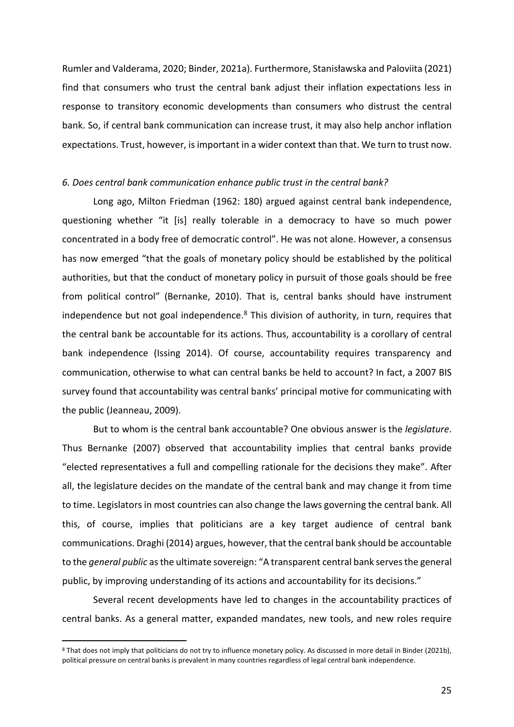Rumler and Valderama, 2020; Binder, 2021a). Furthermore, Stanisławska and Paloviita (2021) find that consumers who trust the central bank adjust their inflation expectations less in response to transitory economic developments than consumers who distrust the central bank. So, if central bank communication can increase trust, it may also help anchor inflation expectations. Trust, however, is important in a wider context than that. We turn to trust now.

#### *6. Does central bank communication enhance public trust in the central bank?*

Long ago, Milton Friedman (1962: 180) argued against central bank independence, questioning whether "it [is] really tolerable in a democracy to have so much power concentrated in a body free of democratic control". He was not alone. However, a consensus has now emerged "that the goals of monetary policy should be established by the political authorities, but that the conduct of monetary policy in pursuit of those goals should be free from political control" (Bernanke, 2010). That is, central banks should have instrument independence but not goal independence.<sup>[8](#page-25-0)</sup> This division of authority, in turn, requires that the central bank be accountable for its actions. Thus, accountability is a corollary of central bank independence (Issing 2014). Of course, accountability requires transparency and communication, otherwise to what can central banks be held to account? In fact, a 2007 BIS survey found that accountability was central banks' principal motive for communicating with the public (Jeanneau, 2009).

But to whom is the central bank accountable? One obvious answer is the *legislature*. Thus Bernanke (2007) observed that accountability implies that central banks provide "elected representatives a full and compelling rationale for the decisions they make". After all, the legislature decides on the mandate of the central bank and may change it from time to time. Legislators in most countries can also change the laws governing the central bank. All this, of course, implies that politicians are a key target audience of central bank communications. Draghi (2014) argues, however, that the central bank should be accountable to the *general public* as the ultimate sovereign: "A transparent central bank serves the general public, by improving understanding of its actions and accountability for its decisions."

Several recent developments have led to changes in the accountability practices of central banks. As a general matter, expanded mandates, new tools, and new roles require

<span id="page-25-0"></span> <sup>8</sup> That does not imply that politicians do not try to influence monetary policy. As discussed in more detail in Binder (2021b), political pressure on central banks is prevalent in many countries regardless of legal central bank independence.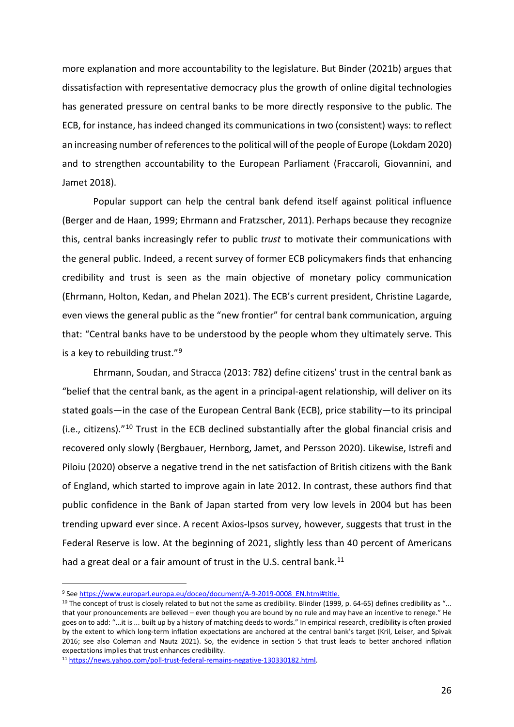more explanation and more accountability to the legislature. But Binder (2021b) argues that dissatisfaction with representative democracy plus the growth of online digital technologies has generated pressure on central banks to be more directly responsive to the public. The ECB, for instance, has indeed changed its communications in two (consistent) ways: to reflect an increasing number of references to the political will of the people of Europe (Lokdam 2020) and to strengthen accountability to the European Parliament (Fraccaroli, Giovannini, and Jamet 2018).

Popular support can help the central bank defend itself against political influence (Berger and de Haan, 1999; Ehrmann and Fratzscher, 2011). Perhaps because they recognize this, central banks increasingly refer to public *trust* to motivate their communications with the general public. Indeed, a recent survey of former ECB policymakers finds that enhancing credibility and trust is seen as the main objective of monetary policy communication (Ehrmann, Holton, Kedan, and Phelan 2021). The ECB's current president, Christine Lagarde, even views the general public as the "new frontier" for central bank communication, arguing that: "Central banks have to be understood by the people whom they ultimately serve. This is a key to rebuilding trust."<sup>[9](#page-26-0)</sup>

Ehrmann, Soudan, and Stracca (2013: 782) define citizens' trust in the central bank as "belief that the central bank, as the agent in a principal-agent relationship, will deliver on its stated goals—in the case of the European Central Bank (ECB), price stability—to its principal (i.e., citizens)."[10](#page-26-1) Trust in the ECB declined substantially after the global financial crisis and recovered only slowly (Bergbauer, Hernborg, Jamet, and Persson 2020). Likewise, Istrefi and Piloiu (2020) observe a negative trend in the net satisfaction of British citizens with the Bank of England, which started to improve again in late 2012. In contrast, these authors find that public confidence in the Bank of Japan started from very low levels in 2004 but has been trending upward ever since. A recent Axios-Ipsos survey, however, suggests that trust in the Federal Reserve is low. At the beginning of 2021, slightly less than 40 percent of Americans had a great deal or a fair amount of trust in the U.S. central bank.<sup>[11](#page-26-2)</sup>

<span id="page-26-0"></span> <sup>9</sup> Se[e https://www.europarl.europa.eu/doceo/document/A-9-2019-0008\\_EN.html#title.](https://www.europarl.europa.eu/doceo/document/A-9-2019-0008_EN.html#title)

<span id="page-26-1"></span> $10$  The concept of trust is closely related to but not the same as credibility. Blinder (1999, p. 64-65) defines credibility as "... that your pronouncements are believed – even though you are bound by no rule and may have an incentive to renege." He goes on to add: "...it is ... built up by a history of matching deeds to words." In empirical research, credibility is often proxied by the extent to which long-term inflation expectations are anchored at the central bank's target (Kril, Leiser, and Spivak 2016; see also Coleman and Nautz 2021). So, the evidence in section 5 that trust leads to better anchored inflation expectations implies that trust enhances credibility.

<span id="page-26-2"></span><sup>11</sup> [https://news.yahoo.com/poll-trust-federal-remains-negative-130330182.html.](https://news.yahoo.com/poll-trust-federal-remains-negative-130330182.html)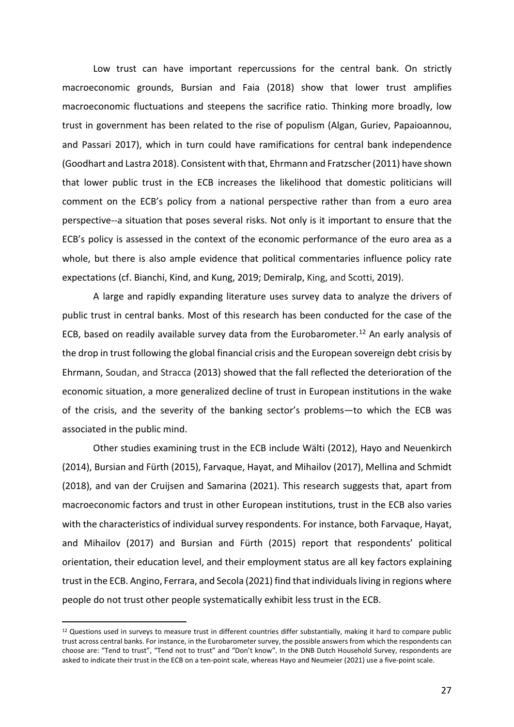Low trust can have important repercussions for the central bank. On strictly macroeconomic grounds, Bursian and Faia (2018) show that lower trust amplifies macroeconomic fluctuations and steepens the sacrifice ratio. Thinking more broadly, low trust in government has been related to the rise of populism (Algan, Guriev, Papaioannou, and Passari 2017), which in turn could have ramifications for central bank independence (Goodhart and Lastra 2018). Consistent with that, Ehrmann and Fratzscher (2011) have shown that lower public trust in the ECB increases the likelihood that domestic politicians will comment on the ECB's policy from a national perspective rather than from a euro area perspective--a situation that poses several risks. Not only is it important to ensure that the ECB's policy is assessed in the context of the economic performance of the euro area as a whole, but there is also ample evidence that political commentaries influence policy rate expectations (cf. Bianchi, Kind, and Kung, 2019; Demiralp, King, and Scotti, 2019).

A large and rapidly expanding literature uses survey data to analyze the drivers of public trust in central banks. Most of this research has been conducted for the case of the ECB, based on readily available survey data from the Eurobarometer.<sup>[12](#page-27-0)</sup> An early analysis of the drop in trust following the global financial crisis and the European sovereign debt crisis by Ehrmann, Soudan, and Stracca (2013) showed that the fall reflected the deterioration of the economic situation, a more generalized decline of trust in European institutions in the wake of the crisis, and the severity of the banking sector's problems—to which the ECB was associated in the public mind.

Other studies examining trust in the ECB include Wälti (2012), Hayo and Neuenkirch (2014), Bursian and Fürth (2015), Farvaque, Hayat, and Mihailov (2017), Mellina and Schmidt (2018), and van der Cruijsen and Samarina (2021). This research suggests that, apart from macroeconomic factors and trust in other European institutions, trust in the ECB also varies with the characteristics of individual survey respondents. For instance, both Farvaque, Hayat, and Mihailov (2017) and Bursian and Fürth (2015) report that respondents' political orientation, their education level, and their employment status are all key factors explaining trust in the ECB. Angino, Ferrara, and Secola (2021) find that individuals living in regions where people do not trust other people systematically exhibit less trust in the ECB.

<span id="page-27-0"></span><sup>&</sup>lt;sup>12</sup> Questions used in surveys to measure trust in different countries differ substantially, making it hard to compare public trust across central banks. For instance, in the Eurobarometer survey, the possible answers from which the respondents can choose are: "Tend to trust", "Tend not to trust" and "Don't know". In the DNB Dutch Household Survey, respondents are asked to indicate their trust in the ECB on a ten-point scale, whereas Hayo and Neumeier (2021) use a five-point scale.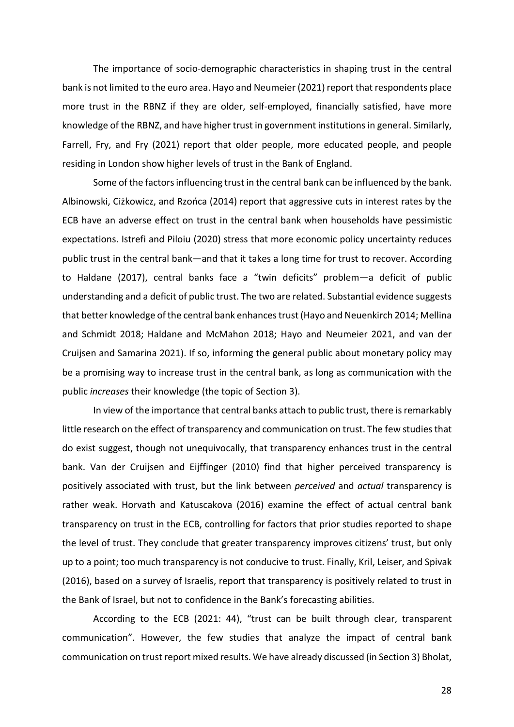The importance of socio-demographic characteristics in shaping trust in the central bank is not limited to the euro area. Hayo and Neumeier (2021) report that respondents place more trust in the RBNZ if they are older, self-employed, financially satisfied, have more knowledge of the RBNZ, and have higher trust in government institutions in general. Similarly, Farrell, Fry, and Fry (2021) report that older people, more educated people, and people residing in London show higher levels of trust in the Bank of England.

Some of the factors influencing trust in the central bank can be influenced by the bank. Albinowski, Ciżkowicz, and Rzońca (2014) report that aggressive cuts in interest rates by the ECB have an adverse effect on trust in the central bank when households have pessimistic expectations. Istrefi and Piloiu (2020) stress that more economic policy uncertainty reduces public trust in the central bank—and that it takes a long time for trust to recover. According to Haldane (2017), central banks face a "twin deficits" problem—a deficit of public understanding and a deficit of public trust. The two are related. Substantial evidence suggests that better knowledge ofthe central bank enhances trust (Hayo and Neuenkirch 2014; Mellina and Schmidt 2018; Haldane and McMahon 2018; Hayo and Neumeier 2021, and van der Cruijsen and Samarina 2021). If so, informing the general public about monetary policy may be a promising way to increase trust in the central bank, as long as communication with the public *increases* their knowledge (the topic of Section 3).

In view of the importance that central banks attach to public trust, there is remarkably little research on the effect of transparency and communication on trust. The few studies that do exist suggest, though not unequivocally, that transparency enhances trust in the central bank. Van der Cruijsen and Eijffinger (2010) find that higher perceived transparency is positively associated with trust, but the link between *perceived* and *actual* transparency is rather weak. Horvath and Katuscakova (2016) examine the effect of actual central bank transparency on trust in the ECB, controlling for factors that prior studies reported to shape the level of trust. They conclude that greater transparency improves citizens' trust, but only up to a point; too much transparency is not conducive to trust. Finally, Kril, Leiser, and Spivak (2016), based on a survey of Israelis, report that transparency is positively related to trust in the Bank of Israel, but not to confidence in the Bank's forecasting abilities.

According to the ECB (2021: 44), "trust can be built through clear, transparent communication". However, the few studies that analyze the impact of central bank communication on trust report mixed results. We have already discussed (in Section 3) Bholat,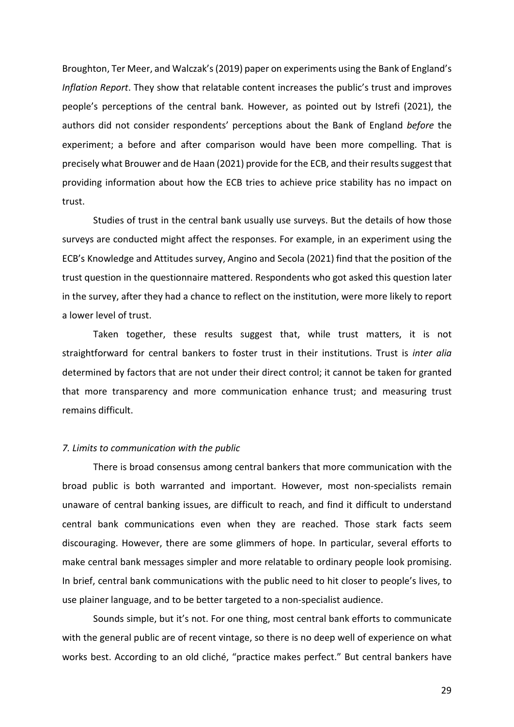Broughton, Ter Meer, and Walczak's(2019) paper on experiments using the Bank of England's *Inflation Report*. They show that relatable content increases the public's trust and improves people's perceptions of the central bank. However, as pointed out by Istrefi (2021), the authors did not consider respondents' perceptions about the Bank of England *before* the experiment; a before and after comparison would have been more compelling. That is precisely what Brouwer and de Haan (2021) provide for the ECB, and their results suggest that providing information about how the ECB tries to achieve price stability has no impact on trust.

Studies of trust in the central bank usually use surveys. But the details of how those surveys are conducted might affect the responses. For example, in an experiment using the ECB's Knowledge and Attitudes survey, Angino and Secola (2021) find that the position of the trust question in the questionnaire mattered. Respondents who got asked this question later in the survey, after they had a chance to reflect on the institution, were more likely to report a lower level of trust.

Taken together, these results suggest that, while trust matters, it is not straightforward for central bankers to foster trust in their institutions. Trust is *inter alia* determined by factors that are not under their direct control; it cannot be taken for granted that more transparency and more communication enhance trust; and measuring trust remains difficult.

## *7. Limits to communication with the public*

There is broad consensus among central bankers that more communication with the broad public is both warranted and important. However, most non-specialists remain unaware of central banking issues, are difficult to reach, and find it difficult to understand central bank communications even when they are reached. Those stark facts seem discouraging. However, there are some glimmers of hope. In particular, several efforts to make central bank messages simpler and more relatable to ordinary people look promising. In brief, central bank communications with the public need to hit closer to people's lives, to use plainer language, and to be better targeted to a non-specialist audience.

Sounds simple, but it's not. For one thing, most central bank efforts to communicate with the general public are of recent vintage, so there is no deep well of experience on what works best. According to an old cliché, "practice makes perfect." But central bankers have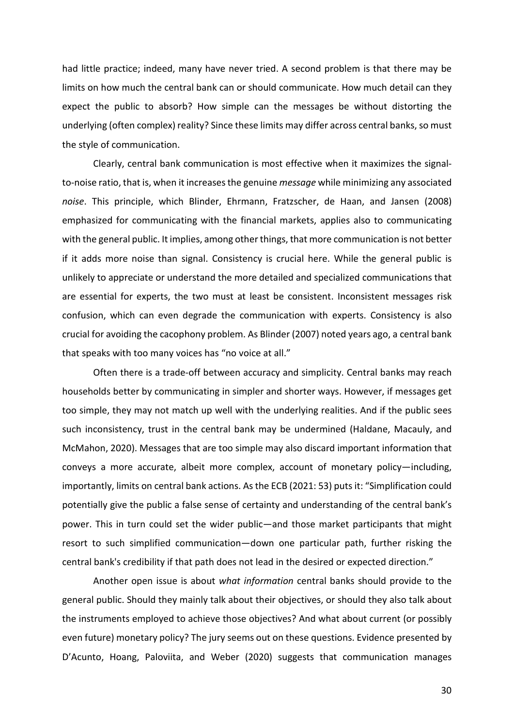had little practice; indeed, many have never tried. A second problem is that there may be limits on how much the central bank can or should communicate. How much detail can they expect the public to absorb? How simple can the messages be without distorting the underlying (often complex) reality? Since these limits may differ across central banks, so must the style of communication.

Clearly, central bank communication is most effective when it maximizes the signalto-noise ratio, that is, when it increases the genuine *message* while minimizing any associated *noise*. This principle, which Blinder, Ehrmann, Fratzscher, de Haan, and Jansen (2008) emphasized for communicating with the financial markets, applies also to communicating with the general public. It implies, among other things, that more communication is not better if it adds more noise than signal. Consistency is crucial here. While the general public is unlikely to appreciate or understand the more detailed and specialized communications that are essential for experts, the two must at least be consistent. Inconsistent messages risk confusion, which can even degrade the communication with experts. Consistency is also crucial for avoiding the cacophony problem. As Blinder (2007) noted years ago, a central bank that speaks with too many voices has "no voice at all."

Often there is a trade-off between accuracy and simplicity. Central banks may reach households better by communicating in simpler and shorter ways. However, if messages get too simple, they may not match up well with the underlying realities. And if the public sees such inconsistency, trust in the central bank may be undermined (Haldane, Macauly, and McMahon, 2020). Messages that are too simple may also discard important information that conveys a more accurate, albeit more complex, account of monetary policy—including, importantly, limits on central bank actions. As the ECB (2021: 53) puts it: "Simplification could potentially give the public a false sense of certainty and understanding of the central bank's power. This in turn could set the wider public—and those market participants that might resort to such simplified communication—down one particular path, further risking the central bank's credibility if that path does not lead in the desired or expected direction."

Another open issue is about *what information* central banks should provide to the general public. Should they mainly talk about their objectives, or should they also talk about the instruments employed to achieve those objectives? And what about current (or possibly even future) monetary policy? The jury seems out on these questions. Evidence presented by D'Acunto, Hoang, Paloviita, and Weber (2020) suggests that communication manages

30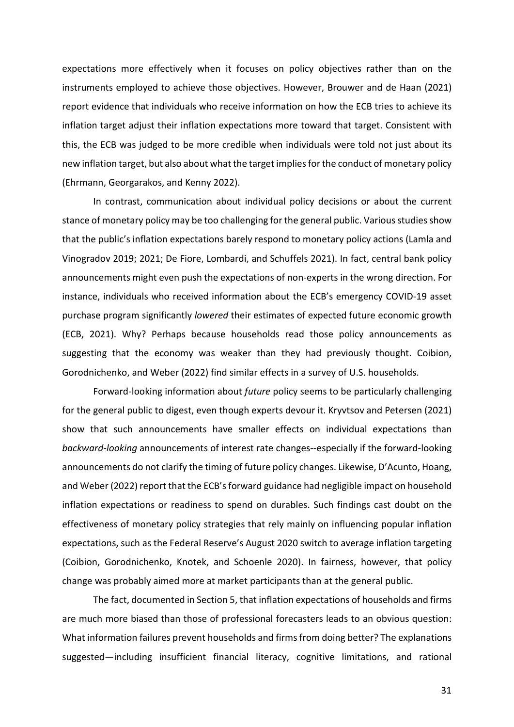expectations more effectively when it focuses on policy objectives rather than on the instruments employed to achieve those objectives. However, Brouwer and de Haan (2021) report evidence that individuals who receive information on how the ECB tries to achieve its inflation target adjust their inflation expectations more toward that target. Consistent with this, the ECB was judged to be more credible when individuals were told not just about its new inflation target, but also about what the target implies for the conduct of monetary policy (Ehrmann, Georgarakos, and Kenny 2022).

In contrast, communication about individual policy decisions or about the current stance of monetary policy may be too challenging for the general public. Various studies show that the public's inflation expectations barely respond to monetary policy actions (Lamla and Vinogradov 2019; 2021; De Fiore, Lombardi, and Schuffels 2021). In fact, central bank policy announcements might even push the expectations of non-experts in the wrong direction. For instance, individuals who received information about the ECB's emergency COVID-19 asset purchase program significantly *lowered* their estimates of expected future economic growth (ECB, 2021). Why? Perhaps because households read those policy announcements as suggesting that the economy was weaker than they had previously thought. Coibion, Gorodnichenko, and Weber (2022) find similar effects in a survey of U.S. households.

Forward-looking information about *future* policy seems to be particularly challenging for the general public to digest, even though experts devour it. Kryvtsov and Petersen (2021) show that such announcements have smaller effects on individual expectations than *backward-looking* announcements of interest rate changes--especially if the forward-looking announcements do not clarify the timing of future policy changes. Likewise, D'Acunto, Hoang, and Weber (2022) report that the ECB's forward guidance had negligible impact on household inflation expectations or readiness to spend on durables. Such findings cast doubt on the effectiveness of monetary policy strategies that rely mainly on influencing popular inflation expectations, such as the Federal Reserve's August 2020 switch to average inflation targeting (Coibion, Gorodnichenko, Knotek, and Schoenle 2020). In fairness, however, that policy change was probably aimed more at market participants than at the general public.

The fact, documented in Section 5, that inflation expectations of households and firms are much more biased than those of professional forecasters leads to an obvious question: What information failures prevent households and firms from doing better? The explanations suggested—including insufficient financial literacy, cognitive limitations, and rational

31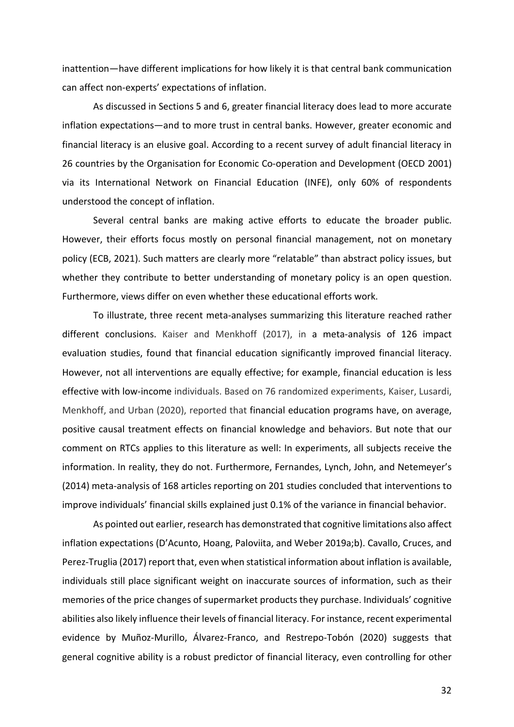inattention—have different implications for how likely it is that central bank communication can affect non-experts' expectations of inflation.

As discussed in Sections 5 and 6, greater financial literacy does lead to more accurate inflation expectations—and to more trust in central banks. However, greater economic and financial literacy is an elusive goal. According to a recent survey of adult financial literacy in 26 countries by the Organisation for Economic Co-operation and Development (OECD 2001) via its International Network on Financial Education (INFE), only 60% of respondents understood the concept of inflation.

Several central banks are making active efforts to educate the broader public. However, their efforts focus mostly on personal financial management, not on monetary policy (ECB, 2021). Such matters are clearly more "relatable" than abstract policy issues, but whether they contribute to better understanding of monetary policy is an open question. Furthermore, views differ on even whether these educational efforts work.

To illustrate, three recent meta-analyses summarizing this literature reached rather different conclusions. Kaiser and Menkhoff (2017), in a meta-analysis of 126 impact evaluation studies, found that financial education significantly improved financial literacy. However, not all interventions are equally effective; for example, financial education is less effective with low-income individuals. Based on 76 randomized experiments, Kaiser, Lusardi, Menkhoff, and Urban (2020), reported that financial education programs have, on average, positive causal treatment effects on financial knowledge and behaviors. But note that our comment on RTCs applies to this literature as well: In experiments, all subjects receive the information. In reality, they do not. Furthermore, Fernandes, Lynch, John, and Netemeyer's (2014) meta-analysis of 168 articles reporting on 201 studies concluded that interventions to improve individuals' financial skills explained just 0.1% of the variance in financial behavior.

As pointed out earlier, research has demonstrated that cognitive limitations also affect inflation expectations (D'Acunto, Hoang, Paloviita, and Weber 2019a;b). Cavallo, Cruces, and Perez-Truglia (2017) report that, even when statistical information about inflation is available, individuals still place significant weight on inaccurate sources of information, such as their memories of the price changes of supermarket products they purchase. Individuals' cognitive abilities also likely influence their levels of financial literacy. For instance, recent experimental evidence by Muñoz-Murillo, Álvarez-Franco, and Restrepo-Tobón (2020) suggests that general cognitive ability is a robust predictor of financial literacy, even controlling for other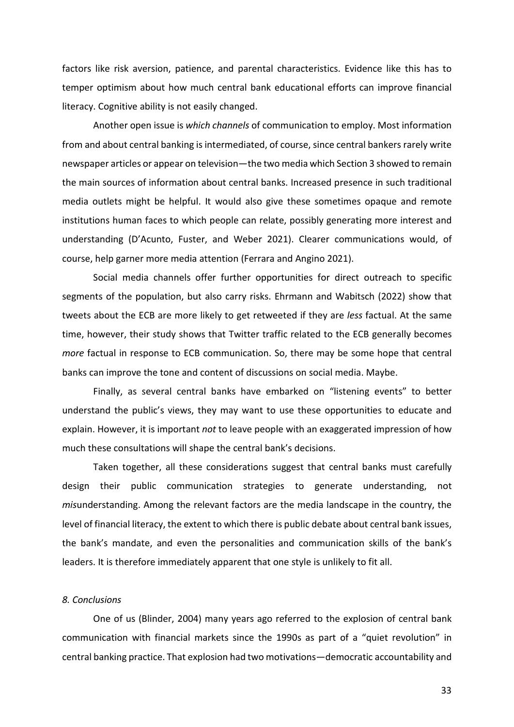factors like risk aversion, patience, and parental characteristics. Evidence like this has to temper optimism about how much central bank educational efforts can improve financial literacy. Cognitive ability is not easily changed.

Another open issue is *which channels* of communication to employ. Most information from and about central banking is intermediated, of course, since central bankers rarely write newspaper articles or appear on television—the two media which Section 3 showed to remain the main sources of information about central banks. Increased presence in such traditional media outlets might be helpful. It would also give these sometimes opaque and remote institutions human faces to which people can relate, possibly generating more interest and understanding (D'Acunto, Fuster, and Weber 2021). Clearer communications would, of course, help garner more media attention (Ferrara and Angino 2021).

Social media channels offer further opportunities for direct outreach to specific segments of the population, but also carry risks. Ehrmann and Wabitsch (2022) show that tweets about the ECB are more likely to get retweeted if they are *less* factual. At the same time, however, their study shows that Twitter traffic related to the ECB generally becomes *more* factual in response to ECB communication. So, there may be some hope that central banks can improve the tone and content of discussions on social media. Maybe.

Finally, as several central banks have embarked on "listening events" to better understand the public's views, they may want to use these opportunities to educate and explain. However, it is important *not* to leave people with an exaggerated impression of how much these consultations will shape the central bank's decisions.

Taken together, all these considerations suggest that central banks must carefully design their public communication strategies to generate understanding, not *mis*understanding. Among the relevant factors are the media landscape in the country, the level of financial literacy, the extent to which there is public debate about central bank issues, the bank's mandate, and even the personalities and communication skills of the bank's leaders. It is therefore immediately apparent that one style is unlikely to fit all.

## *8. Conclusions*

One of us (Blinder, 2004) many years ago referred to the explosion of central bank communication with financial markets since the 1990s as part of a "quiet revolution" in central banking practice. That explosion had two motivations—democratic accountability and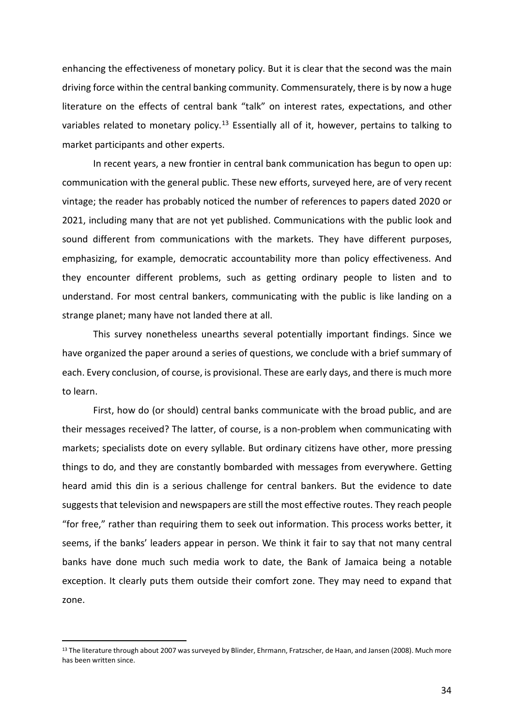enhancing the effectiveness of monetary policy. But it is clear that the second was the main driving force within the central banking community. Commensurately, there is by now a huge literature on the effects of central bank "talk" on interest rates, expectations, and other variables related to monetary policy.<sup>[13](#page-34-0)</sup> Essentially all of it, however, pertains to talking to market participants and other experts.

In recent years, a new frontier in central bank communication has begun to open up: communication with the general public. These new efforts, surveyed here, are of very recent vintage; the reader has probably noticed the number of references to papers dated 2020 or 2021, including many that are not yet published. Communications with the public look and sound different from communications with the markets. They have different purposes, emphasizing, for example, democratic accountability more than policy effectiveness. And they encounter different problems, such as getting ordinary people to listen and to understand. For most central bankers, communicating with the public is like landing on a strange planet; many have not landed there at all.

This survey nonetheless unearths several potentially important findings. Since we have organized the paper around a series of questions, we conclude with a brief summary of each. Every conclusion, of course, is provisional. These are early days, and there is much more to learn.

First, how do (or should) central banks communicate with the broad public, and are their messages received? The latter, of course, is a non-problem when communicating with markets; specialists dote on every syllable. But ordinary citizens have other, more pressing things to do, and they are constantly bombarded with messages from everywhere. Getting heard amid this din is a serious challenge for central bankers. But the evidence to date suggests that television and newspapers are still the most effective routes. They reach people "for free," rather than requiring them to seek out information. This process works better, it seems, if the banks' leaders appear in person. We think it fair to say that not many central banks have done much such media work to date, the Bank of Jamaica being a notable exception. It clearly puts them outside their comfort zone. They may need to expand that zone.

<span id="page-34-0"></span><sup>&</sup>lt;sup>13</sup> The literature through about 2007 was surveyed by Blinder, Ehrmann, Fratzscher, de Haan, and Jansen (2008). Much more has been written since.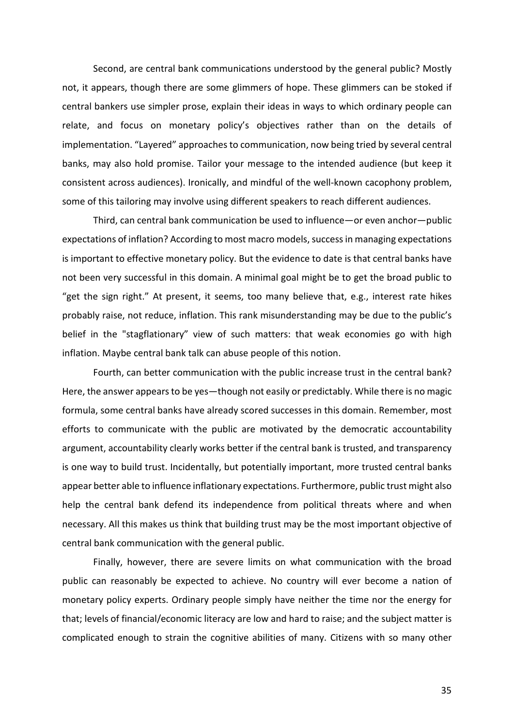Second, are central bank communications understood by the general public? Mostly not, it appears, though there are some glimmers of hope. These glimmers can be stoked if central bankers use simpler prose, explain their ideas in ways to which ordinary people can relate, and focus on monetary policy's objectives rather than on the details of implementation. "Layered" approaches to communication, now being tried by several central banks, may also hold promise. Tailor your message to the intended audience (but keep it consistent across audiences). Ironically, and mindful of the well-known cacophony problem, some of this tailoring may involve using different speakers to reach different audiences.

Third, can central bank communication be used to influence—or even anchor—public expectations of inflation? According to most macro models, success in managing expectations is important to effective monetary policy. But the evidence to date is that central banks have not been very successful in this domain. A minimal goal might be to get the broad public to "get the sign right." At present, it seems, too many believe that, e.g., interest rate hikes probably raise, not reduce, inflation. This rank misunderstanding may be due to the public's belief in the "stagflationary" view of such matters: that weak economies go with high inflation. Maybe central bank talk can abuse people of this notion.

Fourth, can better communication with the public increase trust in the central bank? Here, the answer appears to be yes—though not easily or predictably. While there is no magic formula, some central banks have already scored successes in this domain. Remember, most efforts to communicate with the public are motivated by the democratic accountability argument, accountability clearly works better if the central bank is trusted, and transparency is one way to build trust. Incidentally, but potentially important, more trusted central banks appear better able to influence inflationary expectations. Furthermore, public trust might also help the central bank defend its independence from political threats where and when necessary. All this makes us think that building trust may be the most important objective of central bank communication with the general public.

Finally, however, there are severe limits on what communication with the broad public can reasonably be expected to achieve. No country will ever become a nation of monetary policy experts. Ordinary people simply have neither the time nor the energy for that; levels of financial/economic literacy are low and hard to raise; and the subject matter is complicated enough to strain the cognitive abilities of many. Citizens with so many other

35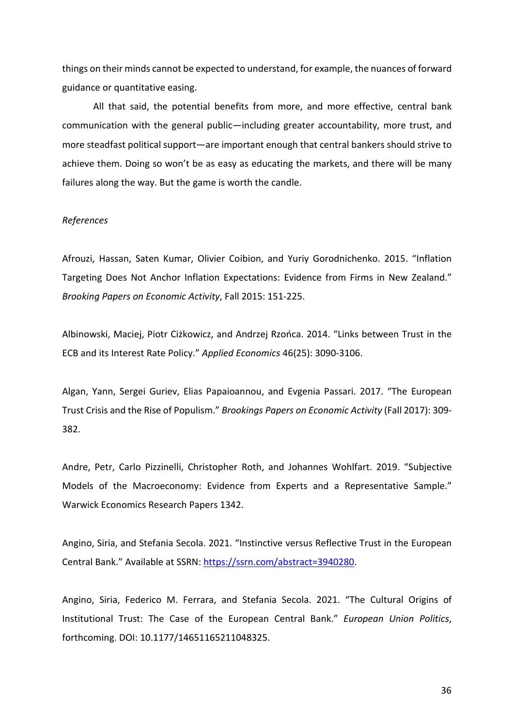things on their minds cannot be expected to understand, for example, the nuances of forward guidance or quantitative easing.

All that said, the potential benefits from more, and more effective, central bank communication with the general public—including greater accountability, more trust, and more steadfast political support—are important enough that central bankers should strive to achieve them. Doing so won't be as easy as educating the markets, and there will be many failures along the way. But the game is worth the candle.

#### *References*

Afrouzi, Hassan, Saten Kumar, Olivier Coibion, and Yuriy Gorodnichenko. 2015. "Inflation Targeting Does Not Anchor Inflation Expectations: Evidence from Firms in New Zealand." *Brooking Papers on Economic Activity*, Fall 2015: 151-225.

Albinowski, Maciej, Piotr Ciżkowicz, and Andrzej Rzońca. 2014. "Links between Trust in the ECB and its Interest Rate Policy." *Applied Economics* 46(25): 3090-3106.

Algan, Yann, Sergei Guriev, Elias Papaioannou, and Evgenia Passari. 2017. "The European Trust Crisis and the Rise of Populism." *Brookings Papers on Economic Activity* (Fall 2017): 309- 382.

Andre, Petr, Carlo Pizzinelli, Christopher Roth, and Johannes Wohlfart. 2019. "Subjective Models of the Macroeconomy: Evidence from Experts and a Representative Sample." Warwick Economics Research Papers 1342.

Angino, Siria, and Stefania Secola. 2021. "Instinctive versus Reflective Trust in the European Central Bank." Available at SSRN[: https://ssrn.com/abstract=3940280.](https://ssrn.com/abstract=3940280)

Angino, Siria, Federico M. Ferrara, and Stefania Secola. 2021. "The Cultural Origins of Institutional Trust: The Case of the European Central Bank." *European Union Politics*, forthcoming. DOI: 10.1177/14651165211048325.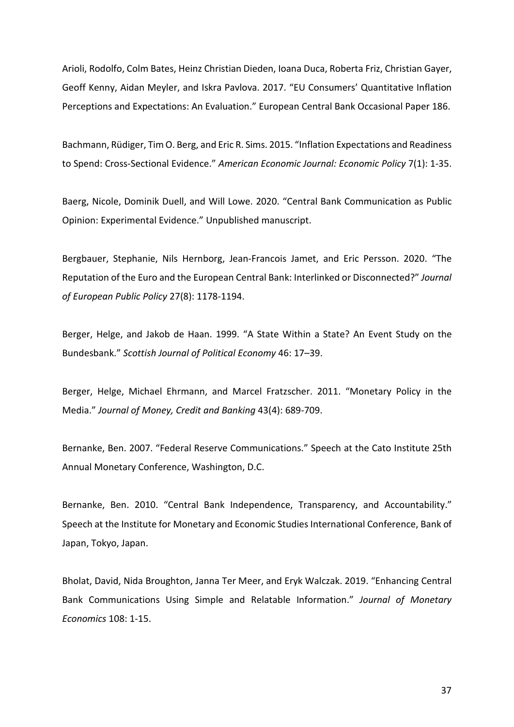Arioli, Rodolfo, Colm Bates, Heinz Christian Dieden, Ioana Duca, Roberta Friz, Christian Gayer, Geoff Kenny, Aidan Meyler, and Iskra Pavlova. 2017. "EU Consumers' Quantitative Inflation Perceptions and Expectations: An Evaluation." European Central Bank Occasional Paper 186.

Bachmann, Rüdiger, Tim O. Berg, and Eric R. Sims. 2015. "Inflation Expectations and Readiness to Spend: Cross-Sectional Evidence." *American Economic Journal: Economic Policy* 7(1): 1-35.

Baerg, Nicole, Dominik Duell, and Will Lowe. 2020. "Central Bank Communication as Public Opinion: Experimental Evidence." Unpublished manuscript.

Bergbauer, Stephanie, Nils Hernborg, Jean-Francois Jamet, and Eric Persson. 2020. "The Reputation of the Euro and the European Central Bank: Interlinked or Disconnected?" *Journal of European Public Policy* 27(8): 1178-1194.

Berger, Helge, and Jakob de Haan. 1999. "A State Within a State? An Event Study on the Bundesbank." *Scottish Journal of Political Economy* 46: 17–39.

Berger, Helge, Michael Ehrmann, and Marcel Fratzscher. 2011. "Monetary Policy in the Media." *Journal of Money, Credit and Banking* 43(4): 689-709.

Bernanke, Ben. 2007. "Federal Reserve Communications." Speech at the Cato Institute 25th Annual Monetary Conference, Washington, D.C.

Bernanke, Ben. 2010. "Central Bank Independence, Transparency, and Accountability." Speech at the Institute for Monetary and Economic Studies International Conference, Bank of Japan, Tokyo, Japan.

Bholat, David, Nida Broughton, Janna Ter Meer, and Eryk Walczak. 2019. "Enhancing Central Bank Communications Using Simple and Relatable Information." *Journal of Monetary Economics* 108: 1-15.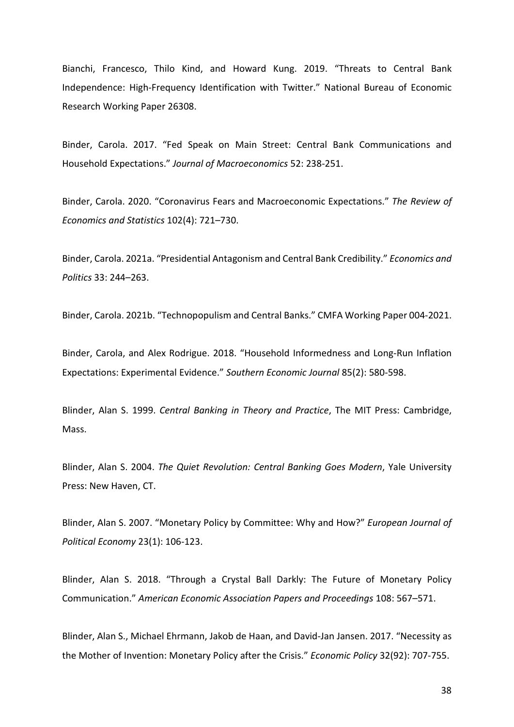Bianchi, Francesco, Thilo Kind, and Howard Kung. 2019. "Threats to Central Bank Independence: High-Frequency Identification with Twitter." National Bureau of Economic Research Working Paper 26308.

Binder, Carola. 2017. "Fed Speak on Main Street: Central Bank Communications and Household Expectations." *Journal of Macroeconomics* 52: 238-251.

Binder, Carola. 2020. "Coronavirus Fears and Macroeconomic Expectations." *The Review of Economics and Statistics* 102(4): 721–730.

Binder, Carola. 2021a. "Presidential Antagonism and Central Bank Credibility." *Economics and Politics* 33: 244–263.

Binder, Carola. 2021b. "Technopopulism and Central Banks." CMFA Working Paper 004-2021.

Binder, Carola, and Alex Rodrigue. 2018. "Household Informedness and Long-Run Inflation Expectations: Experimental Evidence." *Southern Economic Journal* 85(2): 580-598.

Blinder, Alan S. 1999. *Central Banking in Theory and Practice*, The MIT Press: Cambridge, Mass.

Blinder, Alan S. 2004. *The Quiet Revolution: Central Banking Goes Modern*, Yale University Press: New Haven, CT.

Blinder, Alan S. 2007. "Monetary Policy by Committee: Why and How?" *European Journal of Political Economy* 23(1): 106-123.

Blinder, Alan S. 2018. "Through a Crystal Ball Darkly: The Future of Monetary Policy Communication." *American Economic Association Papers and Proceedings* 108: 567–571.

Blinder, Alan S., Michael Ehrmann, Jakob de Haan, and David-Jan Jansen. 2017. "Necessity as the Mother of Invention: Monetary Policy after the Crisis." *Economic Policy* 32(92): 707-755.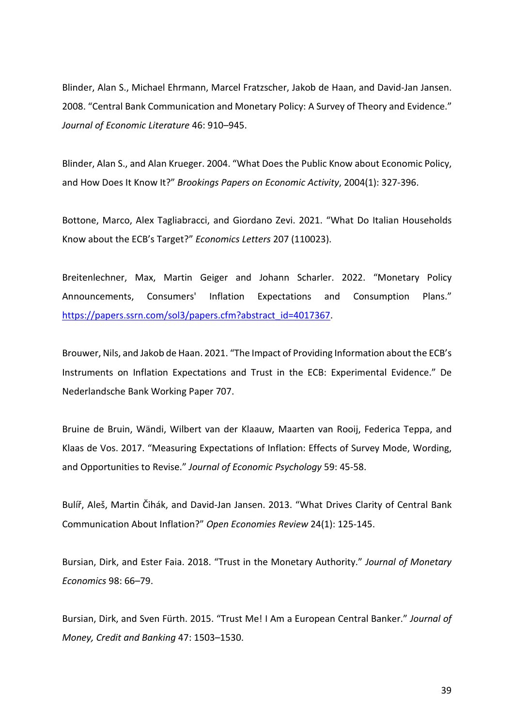Blinder, Alan S., Michael Ehrmann, Marcel Fratzscher, Jakob de Haan, and David-Jan Jansen. 2008. "Central Bank Communication and Monetary Policy: A Survey of Theory and Evidence." *Journal of Economic Literature* 46: 910–945.

Blinder, Alan S., and Alan Krueger. 2004. "What Does the Public Know about Economic Policy, and How Does It Know It?" *Brookings Papers on Economic Activity*, 2004(1): 327-396.

Bottone, Marco, Alex Tagliabracci, and Giordano Zevi. 2021. "What Do Italian Households Know about the ECB's Target?" *Economics Letters* 207 (110023).

Breitenlechner, Max, Martin Geiger and Johann Scharler. 2022. "Monetary Policy Announcements, Consumers' Inflation Expectations and Consumption Plans." [https://papers.ssrn.com/sol3/papers.cfm?abstract\\_id=4017367.](https://papers.ssrn.com/sol3/papers.cfm?abstract_id=4017367)

Brouwer, Nils, and Jakob de Haan. 2021. "The Impact of Providing Information about the ECB's Instruments on Inflation Expectations and Trust in the ECB: Experimental Evidence." De Nederlandsche Bank Working Paper 707.

Bruine de Bruin, Wändi, Wilbert van der Klaauw, Maarten van Rooij, Federica Teppa, and Klaas de Vos. 2017. "Measuring Expectations of Inflation: Effects of Survey Mode, Wording, and Opportunities to Revise." *Journal of Economic Psychology* 59: 45-58.

Bulíř, Aleš, Martin Čihák, and David-Jan Jansen. 2013. "What Drives Clarity of Central Bank Communication About Inflation?" *Open Economies Review* 24(1): 125-145.

Bursian, Dirk, and Ester Faia. 2018. "Trust in the Monetary Authority." *Journal of Monetary Economics* 98: 66–79.

Bursian, Dirk, and Sven Fürth. 2015. "Trust Me! I Am a European Central Banker." *Journal of Money, Credit and Banking* 47: 1503–1530.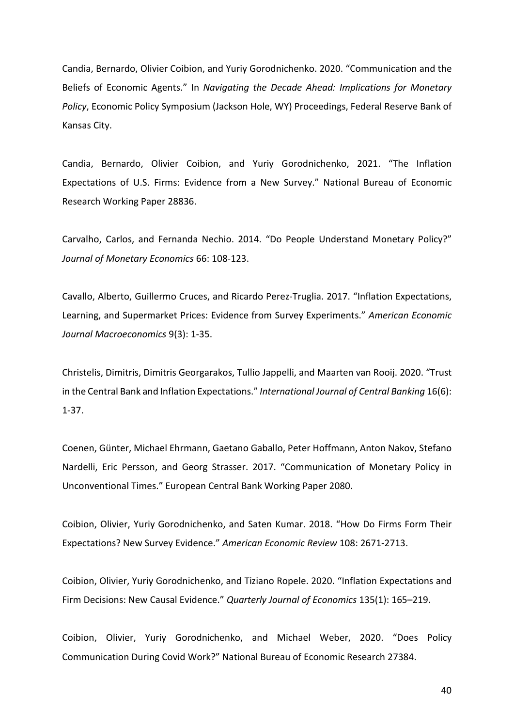Candia, Bernardo, Olivier Coibion, and Yuriy Gorodnichenko. 2020. "Communication and the Beliefs of Economic Agents." In *Navigating the Decade Ahead: Implications for Monetary Policy*, Economic Policy Symposium (Jackson Hole, WY) Proceedings, Federal Reserve Bank of Kansas City.

Candia, Bernardo, Olivier Coibion, and Yuriy Gorodnichenko, 2021. "The Inflation Expectations of U.S. Firms: Evidence from a New Survey." National Bureau of Economic Research Working Paper 28836.

Carvalho, Carlos, and Fernanda Nechio. 2014. "Do People Understand Monetary Policy?" *Journal of Monetary Economics* 66: 108-123.

Cavallo, Alberto, Guillermo Cruces, and Ricardo Perez-Truglia. 2017. "Inflation Expectations, Learning, and Supermarket Prices: Evidence from Survey Experiments." *American Economic Journal Macroeconomics* 9(3): 1-35.

Christelis, Dimitris, Dimitris Georgarakos, Tullio Jappelli, and Maarten van Rooij. 2020. "Trust in the Central Bank and Inflation Expectations." *International Journal of Central Banking* 16(6): 1-37.

Coenen, Günter, Michael Ehrmann, Gaetano Gaballo, Peter Hoffmann, Anton Nakov, Stefano Nardelli, Eric Persson, and Georg Strasser. 2017. "Communication of Monetary Policy in Unconventional Times." European Central Bank Working Paper 2080.

Coibion, Olivier, Yuriy Gorodnichenko, and Saten Kumar. 2018. "How Do Firms Form Their Expectations? New Survey Evidence." *American Economic Review* 108: 2671-2713.

Coibion, Olivier, Yuriy Gorodnichenko, and Tiziano Ropele. 2020. "Inflation Expectations and Firm Decisions: New Causal Evidence." *Quarterly Journal of Economics* 135(1): 165–219.

Coibion, Olivier, Yuriy Gorodnichenko, and Michael Weber, 2020. "Does Policy Communication During Covid Work?" National Bureau of Economic Research 27384.

40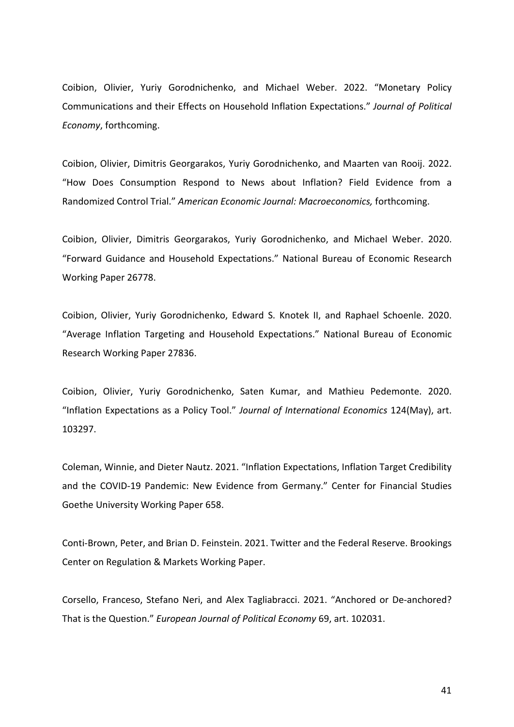Coibion, Olivier, Yuriy Gorodnichenko, and Michael Weber. 2022. "Monetary Policy Communications and their Effects on Household Inflation Expectations." *Journal of Political Economy*, forthcoming.

Coibion, Olivier, Dimitris Georgarakos, Yuriy Gorodnichenko, and Maarten van Rooij. 2022. "How Does Consumption Respond to News about Inflation? Field Evidence from a Randomized Control Trial." *American Economic Journal: Macroeconomics,* forthcoming.

Coibion, Olivier, Dimitris Georgarakos, Yuriy Gorodnichenko, and Michael Weber. 2020. "Forward Guidance and Household Expectations." National Bureau of Economic Research Working Paper 26778.

Coibion, Olivier, Yuriy Gorodnichenko, Edward S. Knotek II, and Raphael Schoenle. 2020. "Average Inflation Targeting and Household Expectations." National Bureau of Economic Research Working Paper 27836.

Coibion, Olivier, Yuriy Gorodnichenko, Saten Kumar, and Mathieu Pedemonte. 2020. "Inflation Expectations as a Policy Tool." *Journal of International Economics* 124(May), art. 103297.

Coleman, Winnie, and Dieter Nautz. 2021. "Inflation Expectations, Inflation Target Credibility and the COVID-19 Pandemic: New Evidence from Germany." Center for Financial Studies Goethe University Working Paper 658.

Conti-Brown, Peter, and Brian D. Feinstein. 2021. Twitter and the Federal Reserve. Brookings Center on Regulation & Markets Working Paper.

Corsello, Franceso, Stefano Neri, and Alex Tagliabracci. 2021. "Anchored or De-anchored? That is the Question." *European Journal of Political Economy* 69, art. 102031.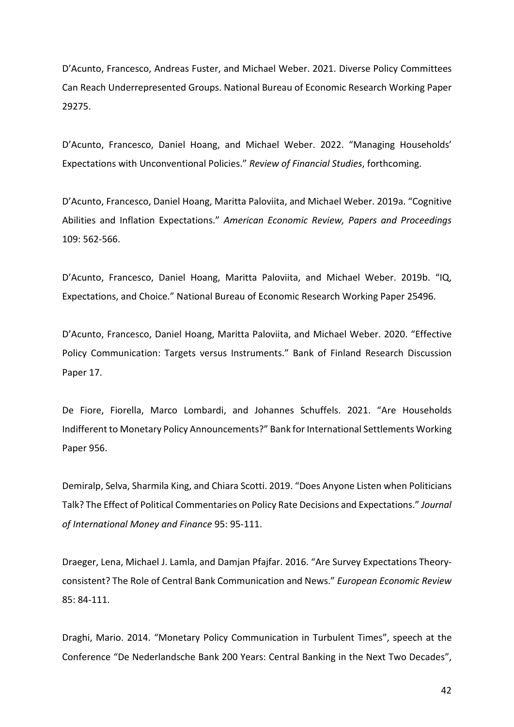D'Acunto, Francesco, Andreas Fuster, and Michael Weber. 2021. Diverse Policy Committees Can Reach Underrepresented Groups. National Bureau of Economic Research Working Paper 29275.

D'Acunto, Francesco, Daniel Hoang, and Michael Weber. 2022. "Managing Households' Expectations with Unconventional Policies." *Review of Financial Studies*, forthcoming.

D'Acunto, Francesco, Daniel Hoang, Maritta Paloviita, and Michael Weber. 2019a. "Cognitive Abilities and Inflation Expectations." *American Economic Review, Papers and Proceedings*  109: 562-566.

D'Acunto, Francesco, Daniel Hoang, Maritta Paloviita, and Michael Weber. 2019b. "IQ, Expectations, and Choice." National Bureau of Economic Research Working Paper 25496.

D'Acunto, Francesco, Daniel Hoang, Maritta Paloviita, and Michael Weber. 2020. "Effective Policy Communication: Targets versus Instruments." Bank of Finland Research Discussion Paper 17.

De Fiore, Fiorella, Marco Lombardi, and Johannes Schuffels. 2021. "Are Households Indifferent to Monetary Policy Announcements?" Bank for International Settlements Working Paper 956.

Demiralp, Selva, Sharmila King, and Chiara Scotti. 2019. "Does Anyone Listen when Politicians Talk? The Effect of Political Commentaries on Policy Rate Decisions and Expectations." *Journal of International Money and Finance* 95: 95-111.

Draeger, Lena, Michael J. Lamla, and Damjan Pfajfar. 2016. "Are Survey Expectations Theoryconsistent? The Role of Central Bank Communication and News." *European Economic Review* 85: 84-111.

Draghi, Mario. 2014. "Monetary Policy Communication in Turbulent Times", speech at the Conference "De Nederlandsche Bank 200 Years: Central Banking in the Next Two Decades",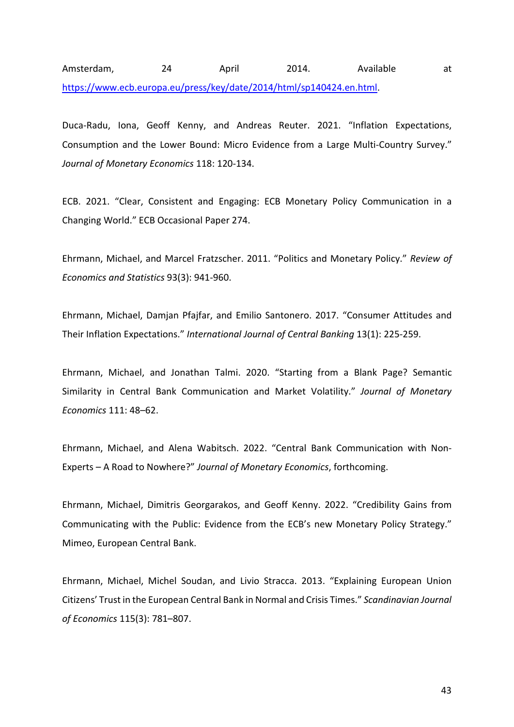Amsterdam, 24 April 2014. Available at [https://www.ecb.europa.eu/press/key/date/2014/html/sp140424.en.html.](https://www.ecb.europa.eu/press/key/date/2014/html/sp140424.en.html)

Duca-Radu, Iona, Geoff Kenny, and Andreas Reuter. 2021. "Inflation Expectations, Consumption and the Lower Bound: Micro Evidence from a Large Multi-Country Survey." *Journal of Monetary Economics* 118: 120-134.

ECB. 2021. "Clear, Consistent and Engaging: ECB Monetary Policy Communication in a Changing World." ECB Occasional Paper 274.

Ehrmann, Michael, and Marcel Fratzscher. 2011. "Politics and Monetary Policy." *Review of Economics and Statistics* 93(3): 941-960.

Ehrmann, Michael, Damjan Pfajfar, and Emilio Santonero. 2017. "Consumer Attitudes and Their Inflation Expectations." *International Journal of Central Banking* 13(1): 225-259.

Ehrmann, Michael, and Jonathan Talmi. 2020. "Starting from a Blank Page? Semantic Similarity in Central Bank Communication and Market Volatility." *Journal of Monetary Economics* 111: 48–62.

Ehrmann, Michael, and Alena Wabitsch. 2022. "Central Bank Communication with Non-Experts – A Road to Nowhere?" *Journal of Monetary Economics*, forthcoming.

Ehrmann, Michael, Dimitris Georgarakos, and Geoff Kenny. 2022. "Credibility Gains from Communicating with the Public: Evidence from the ECB's new Monetary Policy Strategy." Mimeo, European Central Bank.

Ehrmann, Michael, Michel Soudan, and Livio Stracca. 2013. "Explaining European Union Citizens' Trust in the European Central Bank in Normal and Crisis Times." *Scandinavian Journal of Economics* 115(3): 781–807.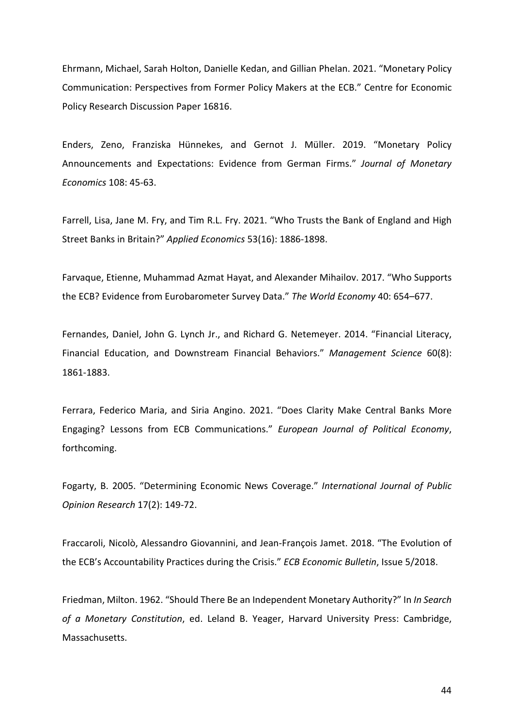Ehrmann, Michael, Sarah Holton, Danielle Kedan, and Gillian Phelan. 2021. "Monetary Policy Communication: Perspectives from Former Policy Makers at the ECB." Centre for Economic Policy Research Discussion Paper 16816.

Enders, Zeno, Franziska Hünnekes, and Gernot J. Müller. 2019. "Monetary Policy Announcements and Expectations: Evidence from German Firms." *Journal of Monetary Economics* 108: 45-63.

Farrell, Lisa, Jane M. Fry, and Tim R.L. Fry. 2021. "Who Trusts the Bank of England and High Street Banks in Britain?" *Applied Economics* 53(16): 1886-1898.

Farvaque, Etienne, Muhammad Azmat Hayat, and Alexander Mihailov. 2017. "Who Supports the ECB? Evidence from Eurobarometer Survey Data." *The World Economy* 40: 654–677.

Fernandes, Daniel, John G. Lynch Jr., and Richard G. Netemeyer. 2014. "Financial Literacy, Financial Education, and Downstream Financial Behaviors." *Management Science* 60(8): 1861-1883.

Ferrara, Federico Maria, and Siria Angino. 2021. "Does Clarity Make Central Banks More Engaging? Lessons from ECB Communications." *European Journal of Political Economy*, forthcoming.

Fogarty, B. 2005. "Determining Economic News Coverage." *International Journal of Public Opinion Research* 17(2): 149-72.

Fraccaroli, Nicolò, Alessandro Giovannini, and Jean-François Jamet. 2018. "The Evolution of the ECB's Accountability Practices during the Crisis." *ECB Economic Bulletin*, Issue 5/2018.

Friedman, Milton. 1962. "Should There Be an Independent Monetary Authority?" In *In Search of a Monetary Constitution*, ed. Leland B. Yeager, Harvard University Press: Cambridge, Massachusetts.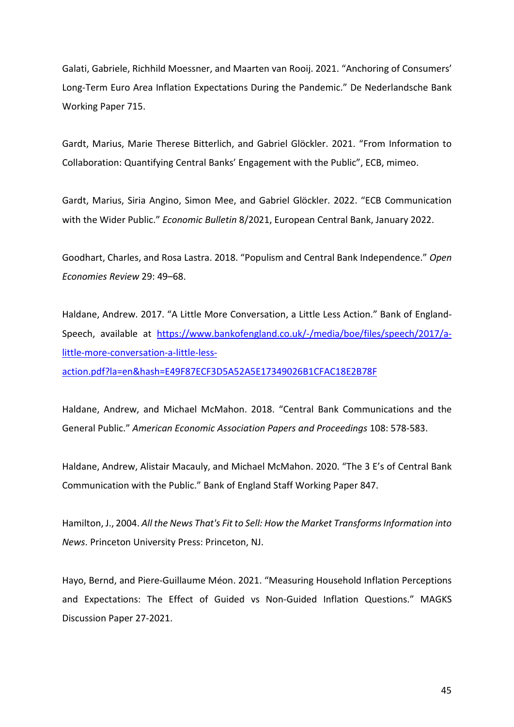Galati, Gabriele, Richhild Moessner, and Maarten van Rooij. 2021. "Anchoring of Consumers' Long-Term Euro Area Inflation Expectations During the Pandemic." De Nederlandsche Bank Working Paper 715.

Gardt, Marius, Marie Therese Bitterlich, and Gabriel Glöckler. 2021. "From Information to Collaboration: Quantifying Central Banks' Engagement with the Public", ECB, mimeo.

Gardt, Marius, Siria Angino, Simon Mee, and Gabriel Glöckler. 2022. "ECB Communication with the Wider Public." *Economic Bulletin* 8/2021, European Central Bank, January 2022.

Goodhart, Charles, and Rosa Lastra. 2018. "Populism and Central Bank Independence." *Open Economies Review* 29: 49–68.

Haldane, Andrew. 2017. "A Little More Conversation, a Little Less Action." Bank of England-Speech, available at [https://www.bankofengland.co.uk/-/media/boe/files/speech/2017/a](https://www.bankofengland.co.uk/-/media/boe/files/speech/2017/a-little-more-conversation-a-little-less-action.pdf?la=en&hash=E49F87ECF3D5A52A5E17349026B1CFAC18E2B78F)[little-more-conversation-a-little-less-](https://www.bankofengland.co.uk/-/media/boe/files/speech/2017/a-little-more-conversation-a-little-less-action.pdf?la=en&hash=E49F87ECF3D5A52A5E17349026B1CFAC18E2B78F)

[action.pdf?la=en&hash=E49F87ECF3D5A52A5E17349026B1CFAC18E2B78F](https://www.bankofengland.co.uk/-/media/boe/files/speech/2017/a-little-more-conversation-a-little-less-action.pdf?la=en&hash=E49F87ECF3D5A52A5E17349026B1CFAC18E2B78F)

Haldane, Andrew, and Michael McMahon. 2018. "Central Bank Communications and the General Public." *American Economic Association Papers and Proceedings* 108: 578-583.

Haldane, Andrew, Alistair Macauly, and Michael McMahon. 2020. "The 3 E's of Central Bank Communication with the Public." Bank of England Staff Working Paper 847.

Hamilton, J., 2004. *All the News That's Fit to Sell: How the Market Transforms Information into News*. Princeton University Press: Princeton, NJ.

Hayo, Bernd, and Piere-Guillaume Méon. 2021. "Measuring Household Inflation Perceptions and Expectations: The Effect of Guided vs Non-Guided Inflation Questions." MAGKS Discussion Paper 27-2021.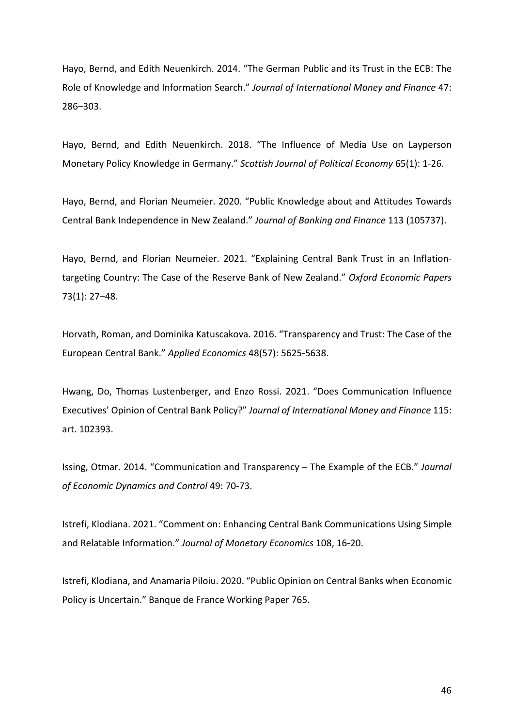Hayo, Bernd, and Edith Neuenkirch. 2014. "The German Public and its Trust in the ECB: The Role of Knowledge and Information Search." *Journal of International Money and Finance* 47: 286–303.

Hayo, Bernd, and Edith Neuenkirch. 2018. "The Influence of Media Use on Layperson Monetary Policy Knowledge in Germany." *Scottish Journal of Political Economy* 65(1): 1-26.

Hayo, Bernd, and Florian Neumeier. 2020. "Public Knowledge about and Attitudes Towards Central Bank Independence in New Zealand." *Journal of Banking and Finance* 113 (105737).

Hayo, Bernd, and Florian Neumeier. 2021. "Explaining Central Bank Trust in an Inflationtargeting Country: The Case of the Reserve Bank of New Zealand." *Oxford Economic Papers* 73(1): 27–48.

Horvath, Roman, and Dominika Katuscakova. 2016. "Transparency and Trust: The Case of the European Central Bank." *Applied Economics* 48(57): 5625-5638.

Hwang, Do, Thomas Lustenberger, and Enzo Rossi. 2021. "Does Communication Influence Executives' Opinion of Central Bank Policy?" *Journal of International Money and Finance* 115: art. 102393.

Issing, Otmar. 2014. "Communication and Transparency – The Example of the ECB." *Journal of Economic Dynamics and Control* 49: 70-73.

Istrefi, Klodiana. 2021. "Comment on: Enhancing Central Bank Communications Using Simple and Relatable Information." *Journal of Monetary Economics* 108, 16-20.

Istrefi, Klodiana, and Anamaria Piloiu. 2020. "Public Opinion on Central Banks when Economic Policy is Uncertain." Banque de France Working Paper 765.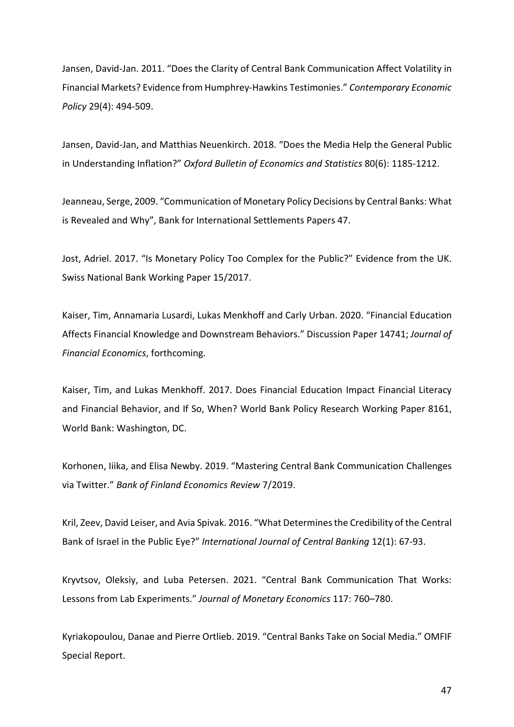Jansen, David-Jan. 2011. "Does the Clarity of Central Bank Communication Affect Volatility in Financial Markets? Evidence from Humphrey-Hawkins Testimonies." *Contemporary Economic Policy* 29(4): 494-509.

Jansen, David-Jan, and Matthias Neuenkirch. 2018. "Does the Media Help the General Public in Understanding Inflation?" *Oxford Bulletin of Economics and Statistics* 80(6): 1185-1212.

Jeanneau, Serge, 2009. "Communication of Monetary Policy Decisions by Central Banks: What is Revealed and Why", Bank for International Settlements Papers 47.

Jost, Adriel. 2017. "Is Monetary Policy Too Complex for the Public?" Evidence from the UK. Swiss National Bank Working Paper 15/2017.

Kaiser, Tim, Annamaria Lusardi, Lukas Menkhoff and Carly Urban. 2020. "Financial Education Affects Financial Knowledge and Downstream Behaviors." Discussion Paper 14741; *Journal of Financial Economics*, forthcoming.

Kaiser, Tim, and Lukas Menkhoff. 2017. Does Financial Education Impact Financial Literacy and Financial Behavior, and If So, When? World Bank Policy Research Working Paper 8161, World Bank: Washington, DC.

Korhonen, Iiika, and Elisa Newby. 2019. "Mastering Central Bank Communication Challenges via Twitter." *Bank of Finland Economics Review* 7/2019.

Kril, Zeev, David Leiser, and Avia Spivak. 2016. "What Determines the Credibility of the Central Bank of Israel in the Public Eye?" *International Journal of Central Banking* 12(1): 67-93.

Kryvtsov, Oleksiy, and Luba Petersen. 2021. "Central Bank Communication That Works: Lessons from Lab Experiments." *Journal of Monetary Economics* 117: 760–780.

Kyriakopoulou, Danae and Pierre Ortlieb. 2019. "Central Banks Take on Social Media." OMFIF Special Report.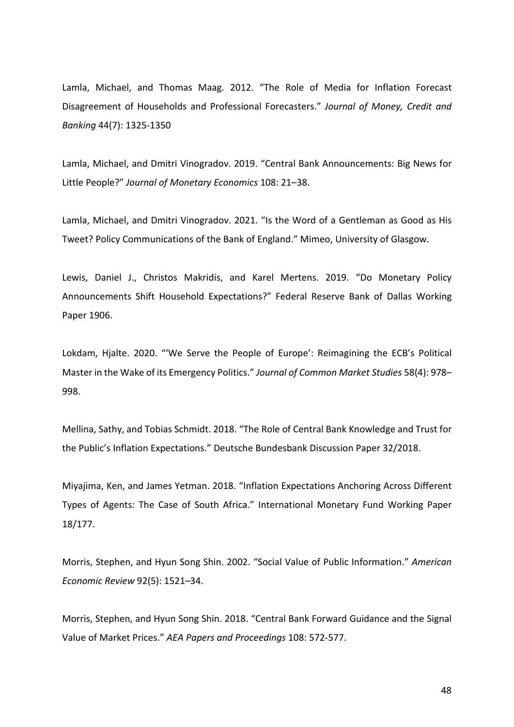Lamla, Michael, and Thomas Maag. 2012. "The Role of Media for Inflation Forecast Disagreement of Households and Professional Forecasters." *Journal of Money, Credit and Banking* 44(7): 1325-1350

Lamla, Michael, and Dmitri Vinogradov. 2019. "Central Bank Announcements: Big News for Little People?" *Journal of Monetary Economics* 108: 21–38.

Lamla, Michael, and Dmitri Vinogradov. 2021. "Is the Word of a Gentleman as Good as His Tweet? Policy Communications of the Bank of England." Mimeo, University of Glasgow.

Lewis, Daniel J., Christos Makridis, and Karel Mertens. 2019. "Do Monetary Policy Announcements Shift Household Expectations?" Federal Reserve Bank of Dallas Working Paper 1906.

Lokdam, Hjalte. 2020. "'We Serve the People of Europe': Reimagining the ECB's Political Master in the Wake of its Emergency Politics." *Journal of Common Market Studies* 58(4): 978– 998.

Mellina, Sathy, and Tobias Schmidt. 2018. "The Role of Central Bank Knowledge and Trust for the Public's Inflation Expectations." Deutsche Bundesbank Discussion Paper 32/2018.

Miyajima, Ken, and James Yetman. 2018. "Inflation Expectations Anchoring Across Different Types of Agents: The Case of South Africa." International Monetary Fund Working Paper 18/177.

Morris, Stephen, and Hyun Song Shin. 2002. "Social Value of Public Information." *American Economic Review* 92(5): 1521–34.

Morris, Stephen, and Hyun Song Shin. 2018. "Central Bank Forward Guidance and the Signal Value of Market Prices." *AEA Papers and Proceedings* 108: 572-577.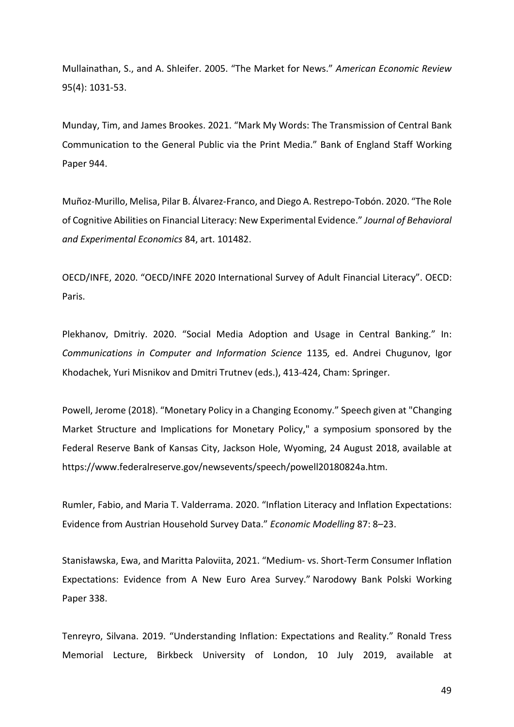Mullainathan, S., and A. Shleifer. 2005. "The Market for News." *American Economic Review* 95(4): 1031-53.

Munday, Tim, and James Brookes. 2021. "Mark My Words: The Transmission of Central Bank Communication to the General Public via the Print Media." Bank of England Staff Working Paper 944.

Muñoz-Murillo, Melisa, Pilar B. Álvarez-Franco, and Diego A. Restrepo-Tobón. 2020. "The Role of Cognitive Abilities on Financial Literacy: New Experimental Evidence." *Journal of Behavioral and Experimental Economics* 84, art. 101482.

OECD/INFE, 2020. "OECD/INFE 2020 International Survey of Adult Financial Literacy". OECD: Paris.

Plekhanov, Dmitriy. 2020. "Social Media Adoption and Usage in Central Banking." In: *Communications in Computer and Information Science* 1135*,* ed. Andrei Chugunov, Igor Khodachek, Yuri Misnikov and Dmitri Trutnev (eds.), 413-424, Cham: Springer.

Powell, Jerome (2018). "Monetary Policy in a Changing Economy." Speech given at "Changing Market Structure and Implications for Monetary Policy," a symposium sponsored by the Federal Reserve Bank of Kansas City, Jackson Hole, Wyoming, 24 August 2018, available at https://www.federalreserve.gov/newsevents/speech/powell20180824a.htm.

Rumler, Fabio, and Maria T. Valderrama. 2020. "Inflation Literacy and Inflation Expectations: Evidence from Austrian Household Survey Data." *Economic Modelling* 87: 8–23.

Stanisławska, Ewa, and Maritta Paloviita, 2021. "Medium- vs. Short-Term Consumer Inflation Expectations: Evidence from A New Euro Area Survey." Narodowy Bank Polski Working Paper 338.

Tenreyro, Silvana. 2019. "Understanding Inflation: Expectations and Reality." Ronald Tress Memorial Lecture, Birkbeck University of London, 10 July 2019, available at